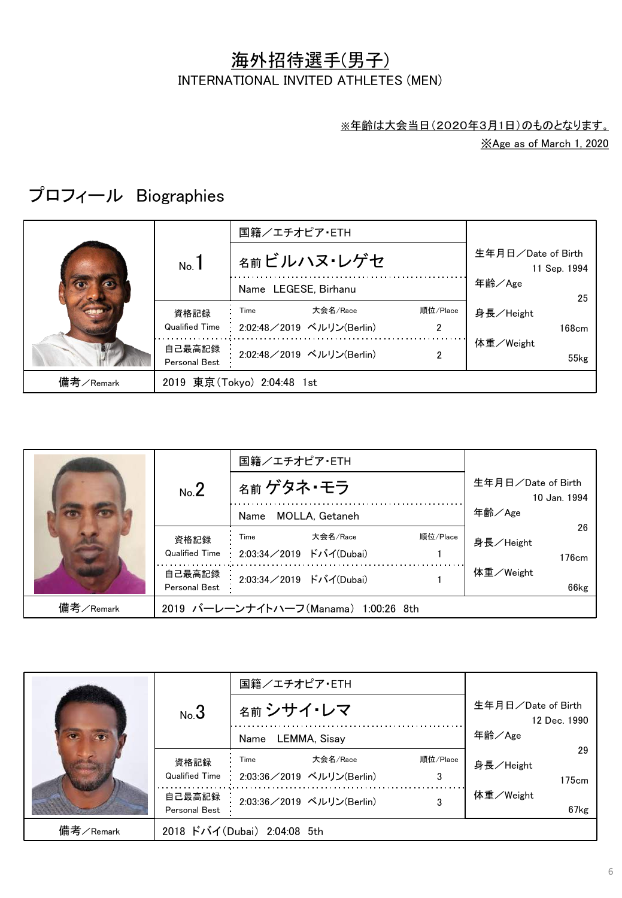### 海外招待選手(男子) INTERNATIONAL INVITED ATHLETES (MEN)

#### ※年齢は大会当日(2020年3月1日)のものとなります。

※Age as of March 1, 2020

#### 国籍/エチオピア·ETH No.1 名前 ビルハヌ・レゲセ Name LEGESE, Birhanu 資格記録 Qualified Time 2:02:48/2019 ベルリン(Berlin) 自己最高記録 Personal Best 2:02:48/2019 ベルリン(Berlin) 生年月日/Date of Birth 11 Sep. 1994 年齢/Age 25 身長/Height 168cm 体重/Weight 55kg 備考/Remark | 2019 東京(Tokyo) 2:04:48 1st Time 大会名/Race 順位/Place 2 2

|           |                         | 国籍/エチオピア・ETH              |                                      |          |                                    |                  |
|-----------|-------------------------|---------------------------|--------------------------------------|----------|------------------------------------|------------------|
|           | $N_0$ . 2               | 名前 ゲタネ・モラ                 |                                      |          | 生年月日/Date of Birth<br>10 Jan. 1994 |                  |
|           |                         | Name                      | MOLLA, Getaneh                       | 年齢/Age   |                                    |                  |
|           | 資格記録                    | $:$ Time                  | 大会名/Race                             | 順位/Place | 身長/Height                          | 26               |
|           | Qualified Time          | : 2:03:34/2019 ドバイ(Dubai) |                                      |          |                                    | 176cm            |
|           | 自己最高記録<br>Personal Best |                           |                                      |          | 体重/Weight                          | 66 <sub>kg</sub> |
| 備考/Remark |                         |                           | 2019 バーレーンナイトハーフ(Manama) 1:00:26 8th |          |                                    |                  |

|           |                                | 国籍/エチオピア·ETH                |                             |          |                                    |                  |
|-----------|--------------------------------|-----------------------------|-----------------------------|----------|------------------------------------|------------------|
|           | No.3                           | 名前 シサイ・レマ                   |                             |          | 生年月日/Date of Birth<br>12 Dec. 1990 |                  |
|           |                                | Name                        | LEMMA, Sisay                |          | 年齢/Age                             |                  |
|           | 資格記録                           | Time                        | 大会名/Race                    | 順位/Place | 身長/Height                          | 29               |
|           | <b>Qualified Time</b>          |                             | : 2.03.36/2019 ベルリン(Berlin) | 3        |                                    | 175cm            |
|           | 自己最高記録<br><b>Personal Best</b> |                             | 2:03:36 / 2019 ベルリン(Berlin) | 3        | 体重/Weight                          | 67 <sub>kg</sub> |
| 備考/Remark |                                | 2018 ドバイ(Dubai) 2:04:08 5th |                             |          |                                    |                  |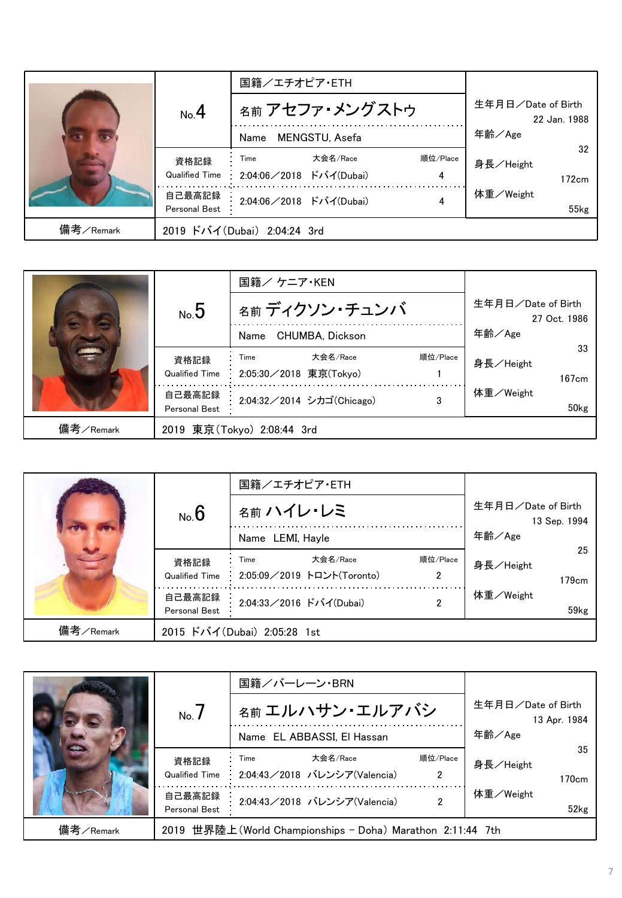|           |                                | 国籍/エチオピア·ETH                               |          |          |                                    |                    |
|-----------|--------------------------------|--------------------------------------------|----------|----------|------------------------------------|--------------------|
|           | No.4                           | 名前 アセファ・メングストゥ                             |          |          | 生年月日/Date of Birth<br>22 Jan. 1988 |                    |
|           |                                | MENGSTU, Asefa<br>Name                     |          |          | 年齢/Age                             |                    |
|           | 資格記録                           | Time                                       | 大会名/Race | 順位/Place | 身長/Height                          | 32                 |
|           |                                | Qualified Time : 2:04:06 / 2018 ドバイ(Dubai) |          | 4        |                                    | 172cm              |
|           | 自己最高記録<br><b>Personal Best</b> | 2:04:06/2018 ドバイ(Dubai)                    |          | 4        | 体重/Weight                          | $55$ <sub>kg</sub> |
| 備考/Remark |                                | 2019 ドバイ(Dubai) 2:04:24 3rd                |          |          |                                    |                    |

|           |                         | 国籍/ ケニア・KEN                               |                 |          |                                    |                  |
|-----------|-------------------------|-------------------------------------------|-----------------|----------|------------------------------------|------------------|
|           | No.5                    | 名前 ディクソン・チュンバ                             |                 |          | 生年月日/Date of Birth<br>27 Oct. 1986 |                  |
|           |                         | Name                                      | CHUMBA, Dickson |          | 年齢/Age                             |                  |
|           | 資格記録                    | Time                                      | 大会名/Race        | 順位/Place | 身長/Height                          | 33               |
|           |                         | Qualified Time : 2:05:30 / 2018 東京(Tokyo) |                 |          |                                    | 167cm            |
|           | 自己最高記録<br>Personal Best | : 2:04:32/2014 シカゴ(Chicago)               |                 |          | 体重/Weight                          | 50 <sub>kg</sub> |
| 備考/Remark |                         | 2019 東京(Tokyo) 2:08:44 3rd                |                 |          |                                    |                  |

|           |                               | 国籍/エチオピア·ETH                           |                                          |               |                                    |                  |
|-----------|-------------------------------|----------------------------------------|------------------------------------------|---------------|------------------------------------|------------------|
|           | $N0$ .6                       | 名前 ハイレ・レミ                              |                                          |               | 生年月日/Date of Birth<br>13 Sep. 1994 |                  |
|           |                               | Name LEMI, Hayle                       |                                          |               | 年齢/Age                             |                  |
|           | 資格記録<br><b>Qualified Time</b> | Time                                   | 大会名/Race<br>- 2.05.09/2019 トロント(Toronto) | 順位/Place<br>2 | 身長/Height                          | 25<br>179cm      |
|           | 自己最高記録<br>Personal Best       | $\therefore$ 2:04:33 / 2016 ドバイ(Dubai) |                                          |               | 体重/Weight                          | 59 <sub>kg</sub> |
| 備考/Remark |                               | 2015 ドバイ(Dubai) 2:05:28 1st            |                                          |               |                                    |                  |

|           |                         | 国籍/バーレーン・BRN   |                                                             |          |                                    |       |
|-----------|-------------------------|----------------|-------------------------------------------------------------|----------|------------------------------------|-------|
|           | $N_o$ .                 | 名前 エルハサン・エルアバシ |                                                             |          | 生年月日/Date of Birth<br>13 Apr. 1984 |       |
|           |                         |                | Name EL ABBASSI, El Hassan                                  |          | 年齢/Age                             |       |
|           | 資格記録                    | Time           | 大会名/Race                                                    | 順位/Place | 身長/Height                          | 35    |
|           |                         |                | Qualified Time 2.04:43/2018 バレンシア(Valencia)                 | 2        |                                    | 170cm |
|           | 自己最高記録<br>Personal Best |                | 2:04:43/2018 バレンシア(Valencia)                                |          | 体重/Weight                          | 52kg  |
| 備考/Remark |                         |                | 2019 世界陸上 (World Championships - Doha) Marathon 2:11:44 7th |          |                                    |       |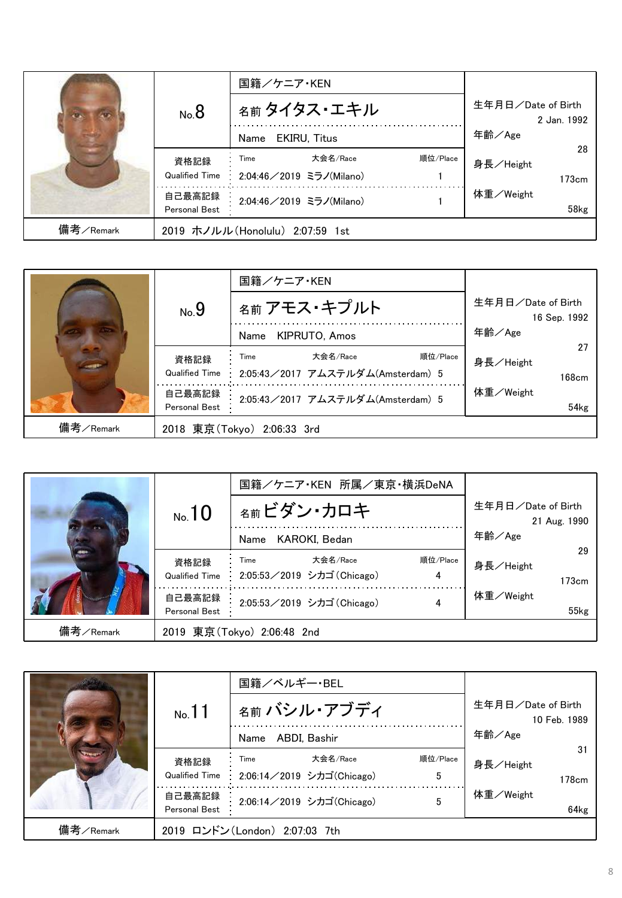|           |                         | 国籍/ケニア·KEN                                  |                     |          |                                   |                  |
|-----------|-------------------------|---------------------------------------------|---------------------|----------|-----------------------------------|------------------|
|           | $N0$ .8                 |                                             | 名前 タイタス・エキル         |          | 生年月日/Date of Birth<br>2 Jan. 1992 |                  |
|           |                         | Name                                        | <b>EKIRU, Titus</b> |          | 年齢/Age                            |                  |
|           | 資格記録                    | Time                                        | 大会名/Race            | 順位/Place | 身長/Height                         | 28               |
|           |                         | Qualified Time : 2.04:46 / 2019 ミラノ(Milano) |                     |          |                                   | 173cm            |
|           | 自己最高記録<br>Personal Best | : 2:04:46/2019 ミラノ(Milano)                  |                     |          | 体重/Weight                         | 58 <sub>kg</sub> |
| 備考/Remark |                         | 2019 ホノルル (Honolulu) 2:07:59 1st            |                     |          |                                   |                  |

|           |                         | 国籍/ケニア・KEN                          |          |           |                                    |    |  |
|-----------|-------------------------|-------------------------------------|----------|-----------|------------------------------------|----|--|
|           | $N_{\rm O}$ .9          | 名前 アモス・キプルト                         |          |           | 生年月日/Date of Birth<br>16 Sep. 1992 |    |  |
|           |                         | KIPRUTO, Amos<br>Name               |          |           | 年齢/Age                             |    |  |
|           | 資格記録                    | Time                                | 大会名/Race | 順位/Place  | 身長/Height                          | 27 |  |
|           | <b>Qualified Time</b>   | : 2:05:43/2017 アムステルダム(Amsterdam) 5 |          |           | 168cm                              |    |  |
|           | 自己最高記録<br>Personal Best | : 2:05:43/2017 アムステルダム(Amsterdam) 5 |          | 体重/Weight | 54kg                               |    |  |
| 備考/Remark |                         | 2018 東京(Tokyo) 2:06:33 3rd          |          |           |                                    |    |  |

|           |                               |                                                  | 国籍/ケニア·KEN 所属/東京·横浜DeNA            |           |                    |  |
|-----------|-------------------------------|--------------------------------------------------|------------------------------------|-----------|--------------------|--|
|           | $No$ 10                       | <sub>名前</sub> ビダン・カロキ                            | 生年月日/Date of Birth<br>21 Aug. 1990 |           |                    |  |
|           |                               | KAROKI, Bedan<br>Name                            |                                    | 年齢/Age    |                    |  |
|           | 資格記録<br><b>Qualified Time</b> | 大会名/Race<br>Time<br>: 2:05:53/2019 シカゴ (Chicago) | 順位/Place<br>4                      | 身長/Height | 29<br>173cm        |  |
|           | 自己最高記録<br>Personal Best       | : 2:05:53/2019 シカゴ (Chicago)                     |                                    | 体重/Weight | $55$ <sub>kg</sub> |  |
| 備考/Remark |                               | 2019 東京(Tokyo) 2:06:48 2nd                       |                                    |           |                    |  |

|           |                                | 国籍/ベルギー·BEL                    |                                            |          |                                    |       |
|-----------|--------------------------------|--------------------------------|--------------------------------------------|----------|------------------------------------|-------|
|           | No. 11                         | 名前バシル・アブディ                     |                                            |          | 生年月日/Date of Birth<br>10 Feb. 1989 |       |
|           |                                | Name                           | ABDI, Bashir                               |          | 年齢/Age                             |       |
|           | 資格記録                           | Time                           | 大会名/Race                                   | 順位/Place | 身長/Height                          | 31    |
|           |                                |                                | Qualified Time : 2:06:14/2019 シカゴ(Chicago) | 5        |                                    | 178cm |
|           | 自己最高記録<br><b>Personal Best</b> |                                | : 2:06:14/2019 シカゴ(Chicago)                | 5        | 体重/Weight                          | 64kg  |
| 備考/Remark |                                | 2019 ロンドン (London) 2:07:03 7th |                                            |          |                                    |       |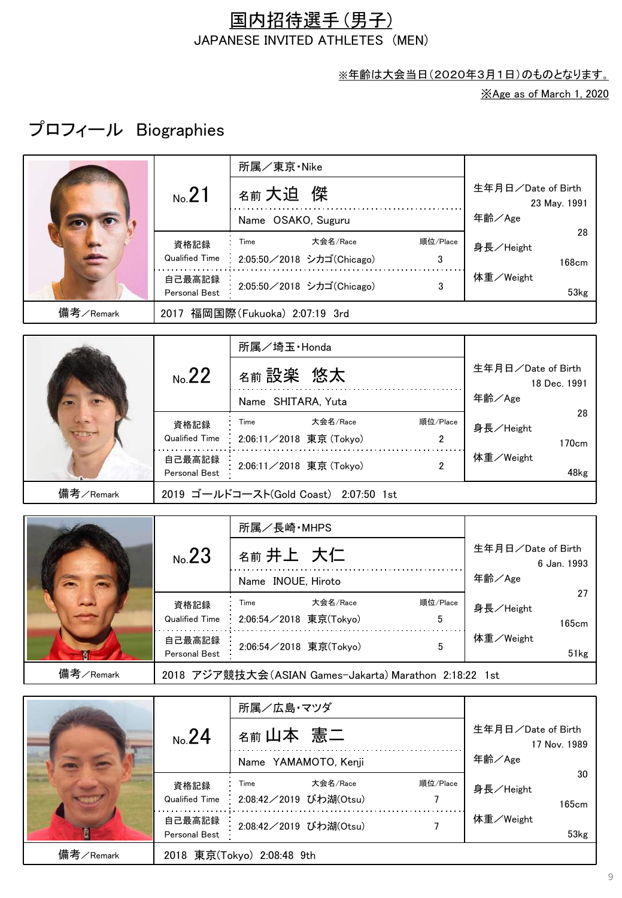### 国内招待選手 (男子) JAPANESE INVITED ATHLETES (MEN)

#### ※年齢は大会当日(2020年3月1日)のものとなります。

※Age as of March 1, 2020

## プロフィール Biographies

|           |                                | 所属/東京·Nike                                                     |                                    |
|-----------|--------------------------------|----------------------------------------------------------------|------------------------------------|
|           | $N_{\rm O}$ .21                | <sub>名前</sub> 大迫 傑                                             | 生年月日/Date of Birth                 |
|           |                                | Name OSAKO, Suguru                                             | 23 May. 1991<br>年齢/Age             |
|           | 資格記録<br><b>Qualified Time</b>  | 大会名/Race<br>順位/Place<br>Time<br>2:05:50/2018 シカゴ(Chicago)<br>3 | 28<br>身長/Height<br>168cm           |
|           | 自己最高記録<br><b>Personal Best</b> | 2:05:50/2018 シカゴ(Chicago)<br>3                                 | 体重/Weight<br>53 <sub>kg</sub>      |
| 備考/Remark |                                | 2017 福岡国際(Fukuoka) 2:07:19 3rd                                 |                                    |
|           |                                | 所属/埼玉·Honda                                                    |                                    |
|           | $No$ 22                        | <sub>名前</sub> 設楽  悠太                                           | 生年月日/Date of Birth<br>18 Dec. 1991 |
|           |                                | Name SHITARA, Yuta                                             | 年齢/Age                             |
|           | 資格記録<br><b>Qualified Time</b>  | 大会名/Race<br>順位/Place<br>Time<br>2:06:11/2018 東京 (Tokyo)<br>2   | 28<br>身長/Height<br>170cm           |
|           | 自己最高記録<br>Personal Best        | 2:06:11/2018 東京 (Tokyo)<br>$\overline{2}$                      | 体重/Weight<br>48kg                  |
| 備考/Remark |                                | 2019 ゴールドコースト(Gold Coast) 2:07:50 1st                          |                                    |
|           |                                |                                                                |                                    |
|           |                                | 所属/長崎·MHPS                                                     | 生年月日/Date of Birth                 |
|           | No.23                          | 名前井上 大仁                                                        | 6 Jan. 1993                        |
|           |                                | Name INOUE, Hiroto                                             | 年齢/Age<br>27                       |
|           | 資格記録<br><b>Qualified Time</b>  | 大会名/Race<br>順位/Place<br>Time<br>2:06:54/2018 東京(Tokyo)<br>5    | 身長/Height<br>165cm                 |
|           | 自己最高記録<br>Personal Best        | 2:06:54/2018 東京(Tokyo)<br>5                                    | 体重/Weight<br>51kg                  |
| 備考/Remark |                                | 2018 アジア競技大会(ASIAN Games-Jakarta) Marathon 2:18:22 1st         |                                    |
|           |                                | 所属/広島・マツダ                                                      |                                    |
|           | $N_{\rm O}$ . 24               | 名前山本 憲二                                                        | 生年月日/Date of Birth                 |
|           |                                | Name YAMAMOTO, Kenji                                           | 17 Nov. 1989<br>年齢/Age             |
|           | 資格記録<br><b>Qualified Time</b>  | 大会名/Race<br>順位/Place<br>Time<br>2:08:42/2019 びわ湖(Otsu)<br>7    | 30<br>身長/Height<br>165cm           |
|           | 自己最高記録                         | 2:08:42/2019 びわ湖(Otsu)<br>$\overline{7}$                       | 体重/Weight                          |

53kg

T 備考/Remark

Personal Best

2018 東京(Tokyo) 2:08:48 9th

9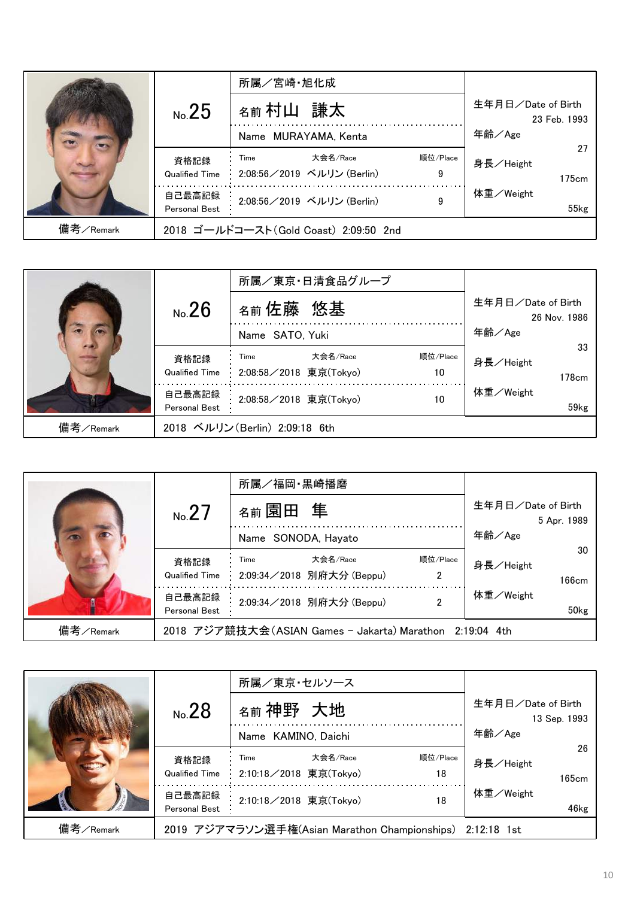|           |                                | 所属/宮崎·旭化成 |                                               |          |                                    |                    |
|-----------|--------------------------------|-----------|-----------------------------------------------|----------|------------------------------------|--------------------|
|           | $_{No.}25$                     | 名前村山 謙太   |                                               |          | 生年月日/Date of Birth<br>23 Feb. 1993 |                    |
|           |                                |           | Name MURAYAMA, Kenta                          |          | 年齢/Age                             |                    |
|           | 資格記録                           | Time      | 大会名/Race                                      | 順位/Place | 身長/Height                          | 27                 |
|           |                                |           | Qualified Time : 2:08:56 / 2019 ベルリン (Berlin) | 9        |                                    | 175cm              |
|           | 自己最高記録<br><b>Personal Best</b> |           | : 2:08:56/2019 ベルリン (Berlin)                  | 9        | 体重/Weight                          | $55$ <sub>kg</sub> |
| 備考/Remark |                                |           | 2018 ゴールドコースト(Gold Coast) 2:09:50 2nd         |          |                                    |                    |

|           |                         |                                                                | 所属/東京·日清食品グループ |                |                    |              |
|-----------|-------------------------|----------------------------------------------------------------|----------------|----------------|--------------------|--------------|
|           | $N_{\rm O}$ . 26        | 名前佐藤 悠基                                                        |                |                | 生年月日/Date of Birth | 26 Nov. 1986 |
|           |                         | Name SATO, Yuki                                                |                |                | 年齢/Age             |              |
|           | 資格記録                    | $\blacksquare$ Time<br>Qualified Time 2:08:58 / 2018 東京(Tokyo) | 大会名/Race       | 順位/Place<br>10 | 身長/Height          | 33<br>178cm  |
|           | 自己最高記録<br>Personal Best | : 2:08:58/2018 東京(Tokyo)                                       |                | 10             | 体重/Weight          | 59kg         |
| 備考/Remark |                         | 2018 ベルリン (Berlin) 2:09:18 6th                                 |                |                |                    |              |

|           |                               | 所属/福岡·黒崎播磨          |                                                          |          |                                   |                  |
|-----------|-------------------------------|---------------------|----------------------------------------------------------|----------|-----------------------------------|------------------|
|           | $N_{\rm O}$ .27               | 名前 園田 隼             |                                                          |          | 生年月日/Date of Birth<br>5 Apr. 1989 |                  |
|           |                               | Name SONODA, Hayato |                                                          |          | 年齢/Age                            |                  |
|           | 資格記録<br><b>Qualified Time</b> | Time                | 大会名/Race<br>2.09:34 / 2018 別府大分 (Beppu)                  | 順位/Place | 身長/Height                         | 30<br>166cm      |
|           | 自己最高記録<br>Personal Best       |                     | : 2:09:34/2018 別府大分 (Beppu)                              |          | 体重/Weight                         | 50 <sub>kg</sub> |
| 備考/Remark |                               |                     | 2018 アジア競技大会(ASIAN Games - Jakarta) Marathon 2:19:04 4th |          |                                   |                  |

|           |                                | 所属/東京・セルソース                |          |                                                           |                    |              |
|-----------|--------------------------------|----------------------------|----------|-----------------------------------------------------------|--------------------|--------------|
|           | $N_{\rm O}$ . 28               | 名前神野 大地                    |          |                                                           | 生年月日/Date of Birth | 13 Sep. 1993 |
|           |                                | Name KAMINO, Daichi        |          |                                                           | 年齢/Age             |              |
|           | 資格記録                           | Time                       | 大会名/Race | 順位/Place                                                  | 身長/Height          | 26           |
|           | <b>Qualified Time</b>          | → 2:10:18/2018 東京(Tokyo)   |          | 18                                                        |                    | 165cm        |
|           | 自己最高記録<br><b>Personal Best</b> | : 2:10:18 / 2018 東京(Tokyo) |          | 18                                                        | 体重/Weight          | 46kg         |
| 備考/Remark |                                |                            |          | 2019 アジアマラソン選手権(Asian Marathon Championships) 2:12:18 1st |                    |              |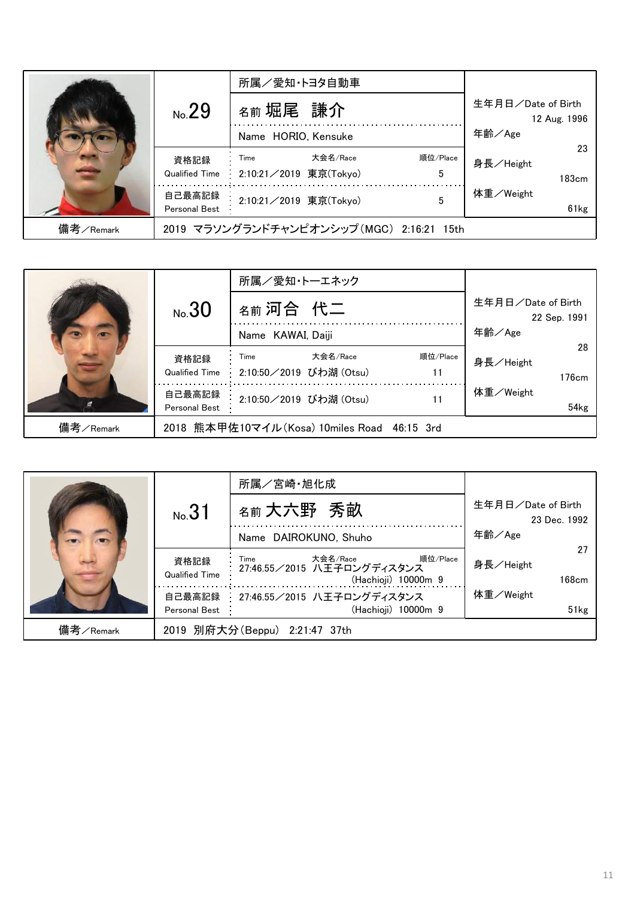|           |                         |                                           | 所属/愛知・トヨタ自動車                              |          |                    |                  |
|-----------|-------------------------|-------------------------------------------|-------------------------------------------|----------|--------------------|------------------|
|           | $_{\text{No}}29$        | 名前堀尾 謙介                                   |                                           |          | 生年月日/Date of Birth | 12 Aug. 1996     |
|           |                         | Name HORIO, Kensuke                       |                                           |          | 年齢/Age             |                  |
|           | 資格記録                    | Time                                      | 大会名/Race                                  | 順位/Place | 身長/Height          | 23               |
|           |                         | Qualified Time : 2:10:21 / 2019 東京(Tokyo) |                                           | 5        |                    | 183cm            |
|           | 自己最高記録<br>Personal Best | : 2:10:21 / 2019 東京(Tokyo)                |                                           | 5        | 体重/Weight          | 61 <sub>kg</sub> |
| 備考/Remark |                         |                                           | 2019 マラソングランドチャンピオンシップ (MGC) 2:16:21 15th |          |                    |                  |

|           |                                | 所属/愛知・トーエネック                             |                                              |          |                    |              |
|-----------|--------------------------------|------------------------------------------|----------------------------------------------|----------|--------------------|--------------|
|           | No. 30                         | 名前河合 代二                                  |                                              |          | 生年月日/Date of Birth | 22 Sep. 1991 |
|           |                                | Name KAWAI, Daiji                        |                                              |          | 年齢/Age             |              |
|           | 資格記録                           | Time                                     | 大会名/Race                                     | 順位/Place | 身長/Height          | 28           |
|           |                                | Qualified Time : 2:10:50/2019 びわ湖 (Otsu) |                                              | 11       |                    | 176cm        |
|           | 自己最高記録<br><b>Personal Best</b> | : 2:10:50/2019 びわ湖 (Otsu)                |                                              | 11       | 体重/Weight          | 54kg         |
| 備考/Remark |                                |                                          | 2018 熊本甲佐10マイル (Kosa) 10miles Road 46:15 3rd |          |                    |              |

|           |                               | 所属/宮崎·旭化成                                                                             |                                    |  |
|-----------|-------------------------------|---------------------------------------------------------------------------------------|------------------------------------|--|
|           | $N_{\rm O}$ 31                | 名前大六野 秀畝                                                                              | 生年月日/Date of Birth<br>23 Dec. 1992 |  |
|           |                               | Name DAIROKUNO, Shuho                                                                 | 年齢/Age                             |  |
|           | 資格記録<br><b>Qualified Time</b> | 順位/Place<br>大会名/Race<br>: Time<br>: 27:46.55/2015 八王子ロングディスタンス<br>(Hachioii) 10000m 9 | 27<br>身長/Height<br>168cm           |  |
|           | Personal Best                 | 自己最高記録 27:46.55 / 2015 八王子ロングディスタンス<br>(Hachioji) 10000m 9                            | 体重/Weight<br>51kg                  |  |
| 備考/Remark |                               | 2019 別府大分(Beppu) 2:21:47 37th                                                         |                                    |  |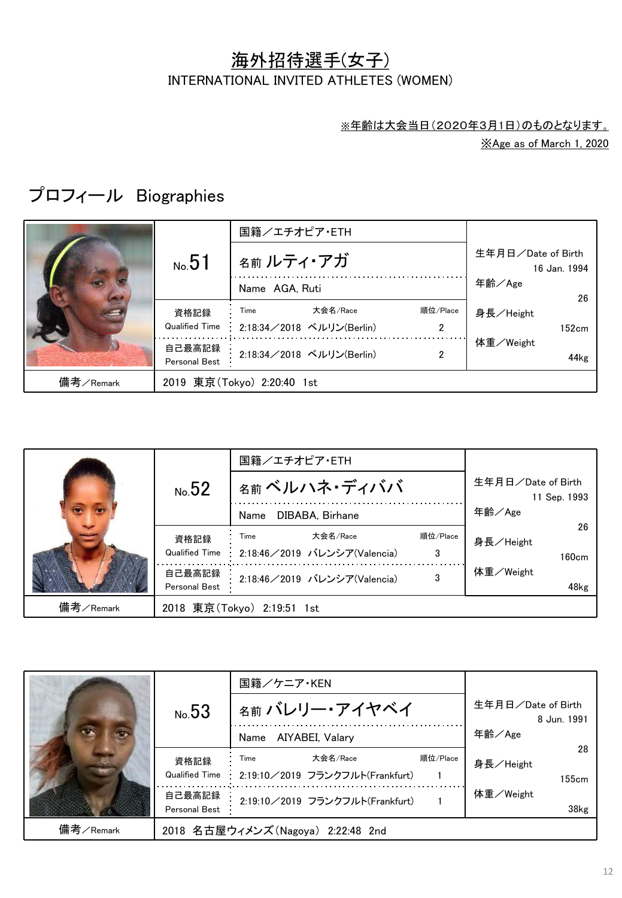### 海外招待選手(女子) INTERNATIONAL INVITED ATHLETES (WOMEN)

#### ※年齢は大会当日(2020年3月1日)のものとなります。

※Age as of March 1, 2020

|           |                                | 国籍/エチオピア·ETH               |                             |          |           |                                    |  |
|-----------|--------------------------------|----------------------------|-----------------------------|----------|-----------|------------------------------------|--|
|           | $N_{\rm O}$ .51                |                            | 名前 ルティ・アガ                   |          |           | 生年月日/Date of Birth<br>16 Jan. 1994 |  |
|           |                                | Name AGA, Ruti             |                             |          | 年齢/Age    | 26                                 |  |
|           | 資格記録                           | Time                       | 大会名/Race                    | 順位/Place | 身長/Height |                                    |  |
|           | <b>Qualified Time</b>          |                            | · 2:18:34/2018 ベルリン(Berlin) | 2        |           | 152cm                              |  |
|           | 自己最高記録<br><b>Personal Best</b> |                            | : 2:18:34/2018 ベルリン(Berlin) |          | 体重/Weight | 44kg                               |  |
| 備考/Remark |                                | 2019 東京(Tokyo) 2:20:40 1st |                             |          |           |                                    |  |

|           |                                | 国籍/エチオピア·ETH               |                                               |          |                                    |                  |
|-----------|--------------------------------|----------------------------|-----------------------------------------------|----------|------------------------------------|------------------|
|           | $No$ .52                       | <sub>名前</sub> ベルハネ・ディババ    |                                               |          | 生年月日/Date of Birth<br>11 Sep. 1993 |                  |
|           |                                | Name                       | DIBABA, Birhane                               |          | 年齢/Age                             |                  |
|           | 資格記録                           | Time                       | 大会名/Race                                      | 順位/Place | 身長/Height                          | 26               |
|           |                                |                            | Qualified Time : 2:18:46/2019 バレンシア(Valencia) | 3        |                                    | 160cm            |
|           | 自己最高記録<br><b>Personal Best</b> |                            | · 2:18:46 / 2019 バレンシア(Valencia)              |          | 体重/Weight                          | 48 <sub>kg</sub> |
| 備考/Remark |                                | 2018 東京(Tokyo) 2:19:51 1st |                                               |          |                                    |                  |

|           |                                | 国籍/ケニア・KEN    |                                                  |          |                                   |                  |
|-----------|--------------------------------|---------------|--------------------------------------------------|----------|-----------------------------------|------------------|
|           | $N_{\rm O}$ .53                | 名前 バレリー・アイヤベイ |                                                  |          | 生年月日/Date of Birth<br>8 Jun. 1991 |                  |
|           |                                | Name          | AIYABEI, Valary                                  |          | 年齢/Age                            |                  |
|           | 資格記録                           | Time          | 大会名/Race                                         | 順位/Place | 身長/Height                         | 28               |
|           |                                |               | Qualified Time : 2:19:10/2019 フランクフルト(Frankfurt) |          |                                   | 155cm            |
|           | 自己最高記録<br><b>Personal Best</b> |               | : 2:19:10/2019 フランクフルト(Frankfurt)                |          | 体重/Weight                         | 38 <sub>kg</sub> |
| 備考/Remark |                                |               | 2018 名古屋ウィメンズ (Nagoya) 2:22:48 2nd               |          |                                   |                  |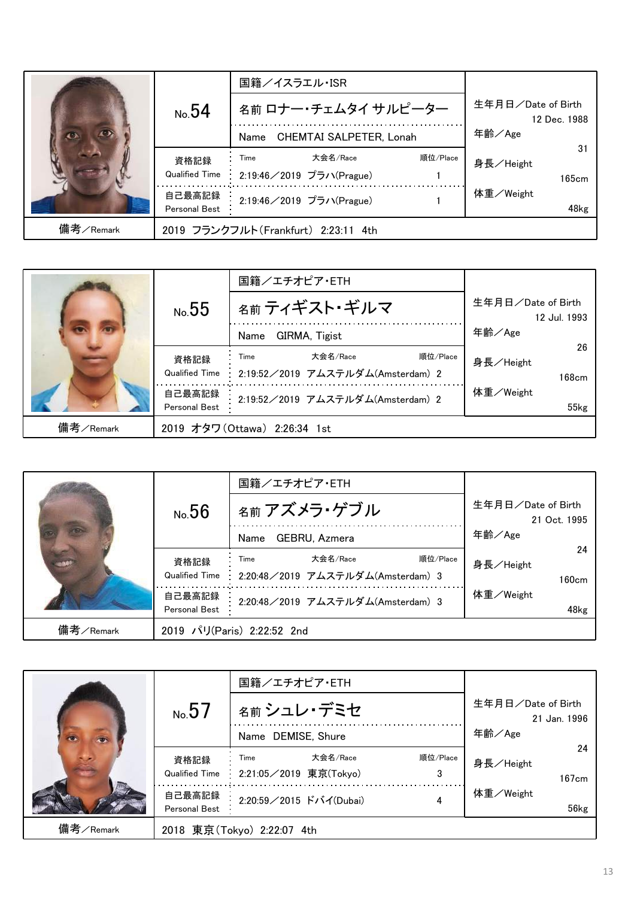|           |                         |                     | 国籍/イスラエル・ISR                                |          |                                    |       |
|-----------|-------------------------|---------------------|---------------------------------------------|----------|------------------------------------|-------|
|           | $N0$ .54                | 名前 ロナー・チェムタイ サルピーター |                                             |          | 生年月日/Date of Birth<br>12 Dec. 1988 |       |
|           |                         | Name                | CHEMTAI SALPETER, Lonah                     |          | 年齢/Age                             |       |
|           | 資格記録                    | Time                | 大会名/Race                                    | 順位/Place | 身長/Height                          | 31    |
|           |                         |                     | Qualified Time : 2:19:46 / 2019 プラハ(Prague) |          |                                    | 165cm |
|           | 自己最高記録<br>Personal Best |                     | : 2:19:46 / 2019 プラハ(Prague)                |          | 体重/Weight                          | 48kg  |
| 備考/Remark |                         |                     | 2019 フランクフルト (Frankfurt) 2:23:11 4th        |          |                                    |       |

|           |                                | 国籍/エチオピア・ETH                        |          |                    |                    |
|-----------|--------------------------------|-------------------------------------|----------|--------------------|--------------------|
|           | $No$ .55                       | 名前 ティギスト・ギルマ                        |          | 生年月日/Date of Birth | 12 Jul. 1993       |
|           |                                | GIRMA, Tigist<br>Name               |          | 年齢/Age             |                    |
|           | 資格記録                           | 大会名/Race<br>Time                    | 順位/Place | 身長/Height          | 26                 |
|           | Qualified Time                 | : 2:19:52/2019 アムステルダム(Amsterdam) 2 |          |                    | 168cm              |
|           | 自己最高記録<br><b>Personal Best</b> | : 2:19:52/2019 アムステルダム(Amsterdam) 2 |          | 体重/Weight          | $55$ <sub>kg</sub> |
| 備考/Remark |                                | 2019 オタワ (Ottawa) 2:26:34 1st       |          |                    |                    |

|           |                                | 国籍/エチオピア·ETH                                       |                                    |
|-----------|--------------------------------|----------------------------------------------------|------------------------------------|
|           | $No$ .56                       | 名前 アズメラ・ゲブル                                        | 生年月日/Date of Birth<br>21 Oct. 1995 |
|           |                                | GEBRU, Azmera<br>Name                              | 年齢/Age                             |
|           | 資格記録                           | 大会名/Race<br>順位/Place<br>Time                       | 24<br>身長/Height                    |
|           |                                | Qualified Time : 2:20:48/2019 アムステルダム(Amsterdam) 3 | 160cm                              |
|           | 自己最高記録<br><b>Personal Best</b> | : 2:20:48/2019 アムステルダム(Amsterdam) 3                | 体重/Weight<br>48kg                  |
| 備考/Remark |                                | 2019 パリ(Paris) 2:22:52 2nd                         |                                    |

|           |                                | 国籍/エチオピア·ETH                              |          |          |                                    |         |  |
|-----------|--------------------------------|-------------------------------------------|----------|----------|------------------------------------|---------|--|
|           | $N_{\rm O}$ .57                | 名前シュレ・デミセ                                 |          |          | 生年月日/Date of Birth<br>21 Jan. 1996 |         |  |
|           |                                | Name DEMISE, Shure                        |          |          | 年齢/Age                             |         |  |
|           | 資格記録                           | Time                                      | 大会名/Race | 順位/Place | 身長/Height                          | 24      |  |
|           |                                | Qualified Time · 2:21:05 / 2019 東京(Tokyo) |          | 3        |                                    | 167cm   |  |
|           | 自己最高記録<br><b>Personal Best</b> | : 2:20:59 / 2015 ドバイ(Dubai)               |          |          | 体重/Weight                          | $56$ kg |  |
| 備考/Remark |                                | 2018 東京(Tokyo) 2:22:07 4th                |          |          |                                    |         |  |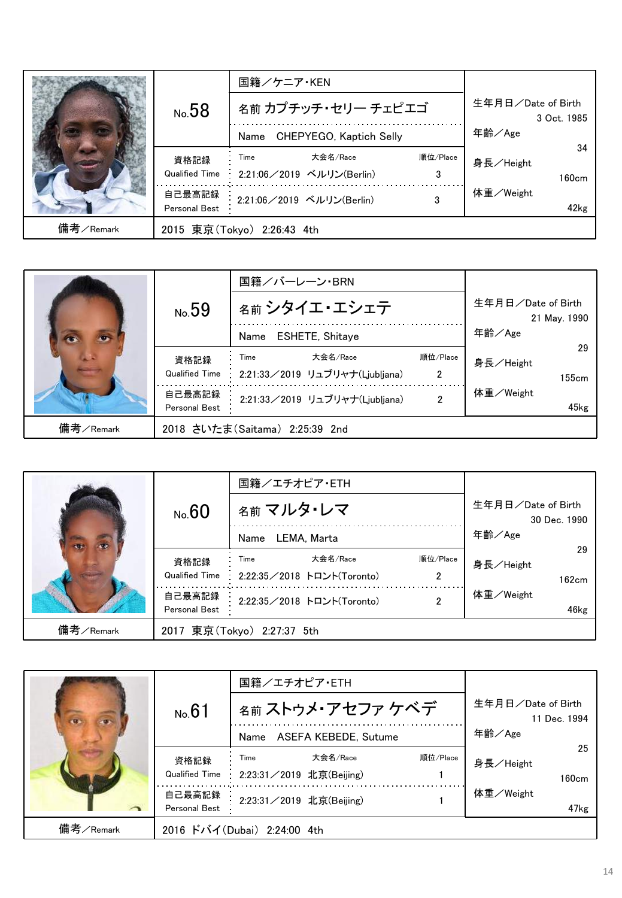|           |                         | 国籍/ケニア・KEN                 |                                              |          |                                   |                  |  |
|-----------|-------------------------|----------------------------|----------------------------------------------|----------|-----------------------------------|------------------|--|
|           | No.58                   |                            | 名前 カプチッチ・セリー チェピエゴ                           |          | 生年月日/Date of Birth<br>3 Oct. 1985 |                  |  |
|           |                         | Name                       | CHEPYEGO, Kaptich Selly                      |          | 年齢/Age                            |                  |  |
|           | 資格記録                    | Time                       | 大会名/Race                                     | 順位/Place | 身長/Height                         | 34               |  |
|           |                         |                            | Qualified Time : 2:21:06 / 2019 ベルリン(Berlin) | 3        |                                   | 160cm            |  |
|           | 自己最高記録<br>Personal Best |                            | : 2:21:06 / 2019 ベルリン(Berlin)                |          | 体重/Weight                         | 42 <sub>kg</sub> |  |
| 備考/Remark |                         | 2015 東京(Tokyo) 2:26:43 4th |                                              |          |                                   |                  |  |

|           |                         | 国籍/バーレーン・BRN                   |                                                 |          |                                    |                    |  |
|-----------|-------------------------|--------------------------------|-------------------------------------------------|----------|------------------------------------|--------------------|--|
|           | No.59                   |                                | 名前 シタイエ・エシェテ                                    |          | 生年月日/Date of Birth<br>21 May. 1990 |                    |  |
|           |                         | Name                           | ESHETE, Shitaye                                 |          | 年齢/Age                             |                    |  |
|           | 資格記録                    | Time                           | 大会名/Race                                        | 順位/Place | 身長/Height                          | 29                 |  |
|           |                         |                                | Qualified Time : 2:21:33/2019 リュブリャナ(Ljubljana) | 2        |                                    | 155cm              |  |
|           | 自己最高記録<br>Personal Best |                                | - 2:21:33/2019 リュブリャナ(Ljubljana)                |          | 体重/Weight                          | $45$ <sub>kg</sub> |  |
| 備考/Remark |                         | 2018 さいたま(Saitama) 2:25:39 2nd |                                                 |          |                                    |                    |  |

|           |                         | 国籍/エチオピア·ETH               |                              |          | 生年月日/Date of Birth<br>30 Dec. 1990 |                    |  |
|-----------|-------------------------|----------------------------|------------------------------|----------|------------------------------------|--------------------|--|
|           | $N_{\rm O}$ .60         | 名前マルタ・レマ                   |                              |          |                                    |                    |  |
|           |                         | Name                       | LEMA, Marta                  |          | 年齢/Age                             |                    |  |
|           | 資格記録                    | Time                       | 大会名/Race                     | 順位/Place | 身長/Height                          | 29                 |  |
|           | <b>Qualified Time</b>   |                            | : 2:22:35/2018 トロント(Toronto) | 2        |                                    | 162cm              |  |
|           | 自己最高記録<br>Personal Best |                            | 2:22:35/2018 トロント(Toronto)   |          | 体重/Weight                          | $46$ <sub>kg</sub> |  |
| 備考/Remark |                         | 2017 東京(Tokyo) 2:27:37 5th |                              |          |                                    |                    |  |

|           |                             | 国籍/エチオピア·ETH                 |                           |          |                                    |                  |  |
|-----------|-----------------------------|------------------------------|---------------------------|----------|------------------------------------|------------------|--|
|           | $N_{\rm O}$ .61             |                              | 名前 ストゥメ・アセファ ケベデ          |          | 生年月日/Date of Birth<br>11 Dec. 1994 |                  |  |
|           |                             |                              | Name ASEFA KEBEDE, Sutume |          | 年齢/Age                             |                  |  |
|           | 資格記録                        | Time                         | 大会名/Race                  | 順位/Place | 身長/Height                          | 25               |  |
|           | <b>Qualified Time</b>       | : 2:23:31 / 2019 北京(Beijing) |                           |          |                                    | 160cm            |  |
|           | 自己最高記録<br>Personal Best     | : 2:23:31 / 2019 北京(Beijing) |                           |          | 体重/Weight                          | 47 <sub>kg</sub> |  |
| 備考/Remark | 2016 ドバイ(Dubai) 2:24:00 4th |                              |                           |          |                                    |                  |  |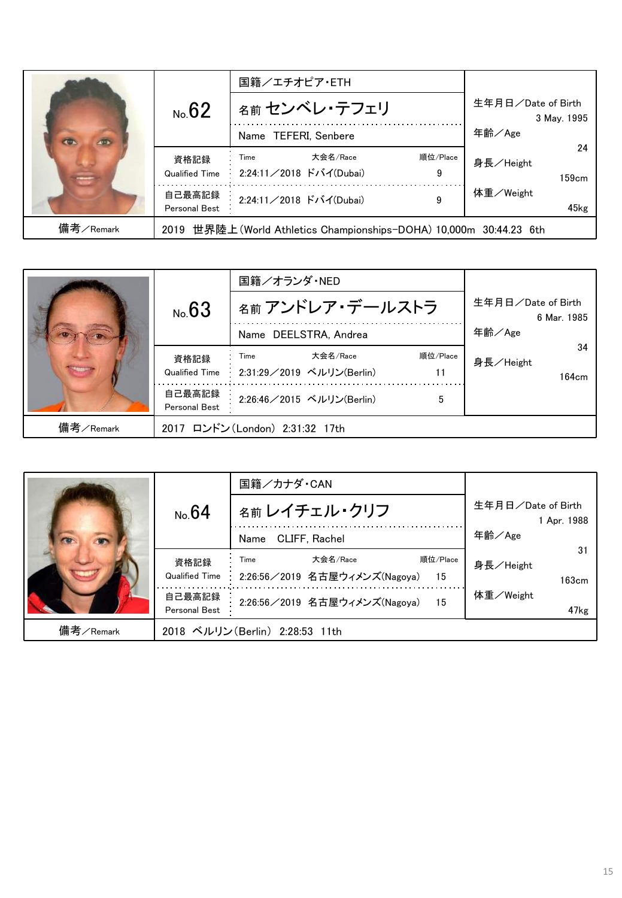|           |                         | 国籍/エチオピア·ETH                                                       |               |                                   |             |  |
|-----------|-------------------------|--------------------------------------------------------------------|---------------|-----------------------------------|-------------|--|
|           | N <sub>o</sub> 62       | 名前 センベレ・テフェリ                                                       |               | 生年月日/Date of Birth<br>3 May. 1995 |             |  |
|           |                         | Name TEFERI, Senbere                                               |               | 年齢/Age                            |             |  |
|           | 資格記録                    | 大会名/Race<br>Time<br>Qualified Time : 2:24:11 / 2018 ドバイ(Dubai)     | 順位/Place<br>9 | 身長/Height                         | 24<br>159cm |  |
|           | 自己最高記録<br>Personal Best | : 2:24:11 / 2018 ドバイ(Dubai)                                        | 9             | 体重/Weight                         | 45kg        |  |
| 備考/Remark |                         | 2019 世界陸上(World Athletics Championships-DOHA) 10,000m 30:44.23 6th |               |                                   |             |  |

|           |                         | 国籍/オランダ・NED                                |                 |          |                                   |       |  |
|-----------|-------------------------|--------------------------------------------|-----------------|----------|-----------------------------------|-------|--|
|           | No.63                   |                                            | 名前 アンドレア・デールストラ |          | 生年月日/Date of Birth<br>6 Mar. 1985 |       |  |
|           |                         | Name DEELSTRA, Andrea                      |                 |          | 年齢/Age                            |       |  |
|           | 資格記録                    | Time                                       | 大会名/Race        | 順位/Place | 身長/Height                         | -34   |  |
|           |                         | Qualified Time 2:31:29 / 2019 ベルリン(Berlin) |                 | 11       |                                   | 164cm |  |
|           | 自己最高記録<br>Personal Best | : 2:26:46 / 2015 ベルリン(Berlin)              |                 | 5        |                                   |       |  |
| 備考/Remark |                         | 2017 ロンドン (London) 2:31:32 17th            |                 |          |                                   |       |  |

|           |                         | 国籍/カナダ·CAN                      |                                 |          |                    |                  |
|-----------|-------------------------|---------------------------------|---------------------------------|----------|--------------------|------------------|
|           | $N_{\rm O}$ .64         |                                 | 名前 レイチェル・クリフ                    |          | 生年月日/Date of Birth | 1 Apr. 1988      |
|           |                         | Name                            | CLIFF, Rachel                   |          | 年齢/Age             |                  |
|           | 資格記録                    | Time                            | 大会名/Race                        | 順位/Place | 身長/Height          | -31              |
|           | <b>Qualified Time</b>   |                                 | : 2.26:56/2019 名古屋ウィメンズ(Nagoya) | 15       |                    | 163cm            |
|           | 自己最高記録<br>Personal Best |                                 | 2:26:56/2019 名古屋ウィメンズ(Nagoya)   | 15       | 体重/Weight          | 47 <sub>kg</sub> |
| 備考/Remark |                         | 2018 ベルリン (Berlin) 2:28:53 11th |                                 |          |                    |                  |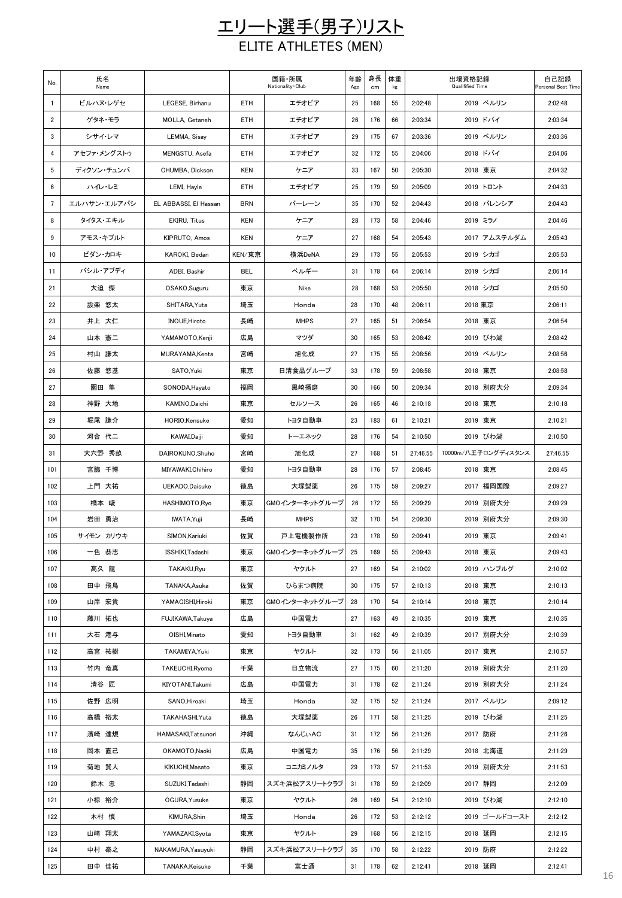#### <u>エリート選手(男子)リスト</u> ELITE ATHLETES (MEN)

| No.            | 氏名<br>Name  |                       |            | 国籍・所属<br>Nationality . Club | 年齢<br>Age | 身長<br>cm | 体重<br>kg |          | 出場資格記録<br>Qualifified Time | 自己記録<br>Personal Best Time |
|----------------|-------------|-----------------------|------------|-----------------------------|-----------|----------|----------|----------|----------------------------|----------------------------|
| $\mathbf{1}$   | ビルハヌレゲセ     | LEGESE, Birhanu       | ETH        | エチオピア                       | 25        | 168      | 55       | 2:02:48  | 2019 ベルリン                  | 2:02:48                    |
| $\overline{2}$ | ゲタネ・モラ      | MOLLA, Getaneh        | ETH        | エチオピア                       | 26        | 176      | 66       | 2:03:34  | 2019 ドバイ                   | 2:03:34                    |
| 3              | シサイ・レマ      | LEMMA, Sisay          | ETH        | エチオピア                       | 29        | 175      | 67       | 2:03:36  | 2019 ベルリン                  | 2:03:36                    |
| 4              | アセファ・メングストゥ | MENGSTU, Asefa        | ETH        | エチオピア                       | 32        | 172      | 55       | 2:04:06  | 2018 ドバイ                   | 2:04:06                    |
| 5              | ディクソン・チュンバ  | CHUMBA, Dickson       | <b>KEN</b> | ケニア                         | 33        | 167      | 50       | 2:05:30  | 2018 東京                    | 2:04:32                    |
| 6              | ハイレ・レミ      | LEMI, Hayle           | ETH        | エチオピア                       | 25        | 179      | 59       | 2:05:09  | 2019 トロント                  | 2:04:33                    |
| $\overline{7}$ | エルハサン・エルアバシ | EL ABBASSI, El Hassan | <b>BRN</b> | バーレーン                       | 35        | 170      | 52       | 2:04:43  | 2018 バレンシア                 | 2:04:43                    |
| 8              | タイタス・エキル    | EKIRU, Titus          | <b>KEN</b> | ケニア                         | 28        | 173      | 58       | 2:04:46  | 2019 ミラノ                   | 2:04:46                    |
| 9              | アモス・キブルト    | KIPRUTO, Amos         | KEN        | ケニア                         | 27        | 168      | 54       | 2:05:43  | 2017 アムステルダム               | 2:05:43                    |
| 10             | ビダン・カロキ     | KAROKI, Bedan         | KEN/東京     | 横浜DeNA                      | 29        | 173      | 55       | 2:05:53  | 2019 シカゴ                   | 2:05:53                    |
| 11             | バシル・アブディ    | ADBI, Bashir          | <b>BEL</b> | ベルギー                        | 31        | 178      | 64       | 2:06:14  | 2019 シカゴ                   | 2:06:14                    |
| 21             | 大迫 傑        | OSAKO, Suguru         | 東京         | Nike                        | 28        | 168      | 53       | 2:05:50  | 2018 シカゴ                   | 2:05:50                    |
| 22             | 設楽 悠太       | SHITARA, Yuta         | 埼玉         | Honda                       | 28        | 170      | 48       | 2:06:11  | 2018 東京                    | 2:06:11                    |
| 23             | 井上 大仁       | <b>INOUE.Hiroto</b>   | 長崎         | <b>MHPS</b>                 | 27        | 165      | 51       | 2:06:54  | 2018 東京                    | 2:06:54                    |
| 24             | 山本 憲二       | YAMAMOTO, Kenji       | 広島         | マツダ                         | 30        | 165      | 53       | 2:08:42  | 2019 びわ湖                   | 2:08:42                    |
| 25             | 村山 謙太       | MURAYAMA, Kenta       | 宮崎         | 旭化成                         | 27        | 175      | 55       | 2:08:56  | 2019 ベルリン                  | 2:08:56                    |
| 26             | 佐藤 悠基       | SATO.Yuki             | 東京         | 日清食品グループ                    | 33        | 178      | 59       | 2:08:58  | 2018 東京                    | 2:08:58                    |
| 27             | 園田 隼        | SONODA, Hayato        | 福岡         | 黒崎播磨                        | 30        | 166      | 50       | 2:09:34  | 2018 別府大分                  | 2:09:34                    |
| 28             | 神野 大地       | KAMINO.Daichi         | 東京         | セルソース                       | 26        | 165      | 46       | 2:10:18  | 2018 東京                    | 2:10:18                    |
| 29             | 堀尾 謙介       | HORIO, Kensuke        | 愛知         | トヨタ自動車                      | 23        | 183      | 61       | 2:10:21  | 2019 東京                    | 2:10:21                    |
| 30             | 河合 代二       | KAWAI,Daiji           | 愛知         | トーエネック                      | 28        | 176      | 54       | 2:10:50  | 2019 びわ湖                   | 2:10:50                    |
| 31             | 大六野 秀畝      | DAIROKUNO, Shuho      | 宮崎         | 旭化成                         | 27        | 168      | 51       | 27:46.55 | 10000m/八王子ロングディスタンス        | 27:46.55                   |
| 101            | 宮脇 千博       | MIYAWAKI, Chihiro     | 愛知         | トヨタ自動車                      | 28        | 176      | 57       | 2:08:45  | 2018 東京                    | 2:08:45                    |
| 102            | 上門 大祐       | UEKADO,Daisuke        | 徳島         | 大塚製薬                        | 26        | 175      | 59       | 2:09:27  | 2017 福岡国際                  | 2:09:27                    |
| 103            | 橋本 崚        | HASHIMOTO, Ryo        | 東京         | GMOインターネットグループ              | 26        | 172      | 55       | 2:09:29  | 2019 別府大分                  | 2:09:29                    |
| 104            | 岩田 勇治       | <b>IWATA</b> , Yuji   | 長崎         | <b>MHPS</b>                 | 32        | 170      | 54       | 2:09:30  | 2019 別府大分                  | 2:09:30                    |
| 105            | サイモン カリウキ   | SIMON, Kariuki        | 佐賀         | 戸上電機製作所                     | 23        | 178      | 59       | 2:09:41  | 2019 東京                    | 2:09:41                    |
| 106            | 一色 恭志       | ISSHIKI,Tadashi       | 東京         | GMOインターネットグループ              | 25        | 169      | 55       | 2:09:43  | 2018 東京                    | 2:09:43                    |
| 107            | 髙久 龍        | TAKAKU,Ryu            | 東京         | ヤクルト                        | 27        | 169      | 54       | 2:10:02  | 2019 ハンブルグ                 | 2:10:02                    |
| 108            | 田中 飛鳥       | TANAKA, Asuka         | 佐賀         | ひらまつ病院                      | 30        | 175      | 57       | 2:10:13  | 2018 東京                    | 2:10:13                    |
| 109            | 山岸 宏貴       | YAMAGISHI, Hiroki     | 東京         | GMOインターネットグループ              | 28        | 170      | 54       | 2:10:14  | 2018 東京                    | 2:10:14                    |
| 110            | 藤川 拓也       | FUJIKAWA, Takuya      | 広島         | 中国電力                        | 27        | 163      | 49       | 2:10:35  | 2019 東京                    | 2:10:35                    |
| 111            | 大石 港与       | OISHI, Minato         | 愛知         | トヨタ自動車                      | 31        | 162      | 49       | 2:10:39  | 2017 別府大分                  | 2:10:39                    |
| 112            | 高宮 祐樹       | TAKAMIYA, Yuki        | 東京         | ヤクルト                        | 32        | 173      | 56       | 2:11:05  | 2017 東京                    | 2:10:57                    |
| 113            | 竹内 竜真       | TAKEUCHI, Ryoma       | 千葉         | 日立物流                        | 27        | 175      | 60       | 2:11:20  | 2019 別府大分                  | 2:11:20                    |
| 114            | 清谷 匠        | KIYOTANI,Takumi       | 広島         | 中国電力                        | 31        | 178      | 62       | 2:11:24  | 2019 別府大分                  | 2:11:24                    |
| 115            | 佐野 広明       | SANO, Hiroaki         | 埼玉         | Honda                       | 32        | 175      | 52       | 2:11:24  | 2017 ベルリン                  | 2:09:12                    |
| 116            | 髙橋 裕太       | TAKAHASHI,Yuta        | 徳島         | 大塚製薬                        | 26        | 171      | 58       | 2:11:25  | 2019 びわ湖                   | 2:11:25                    |
| 117            | 濱崎 達規       | HAMASAKI, Tatsunori   | 沖縄         | なんじぃAC                      | 31        | 172      | 56       | 2:11:26  | 2017 防府                    | 2:11:26                    |
| 118            | 岡本 直己       | OKAMOTO, Naoki        | 広島         | 中国電力                        | 35        | 176      | 56       | 2:11:29  | 2018 北海道                   | 2:11:29                    |
| 119            | 菊地 賢人       | KIKUCHI, Masato       | 東京         | コニカミノルタ                     | 29        | 173      | 57       | 2:11:53  | 2019 別府大分                  | 2:11:53                    |
| 120            | 鈴木 忠        | SUZUKI,Tadashi        | 静岡         | スズキ浜松アスリートクラブ               | 31        | 178      | 59       | 2:12:09  | 2017 静岡                    | 2:12:09                    |
| 121            | 小椋 裕介       | OGURA, Yusuke         | 東京         | ヤクルト                        | 26        | 169      | 54       | 2:12:10  | 2019 びわ湖                   | 2:12:10                    |
| 122            | 木村 慎        | KIMURA, Shin          | 埼玉         | Honda                       | 26        | 172      | 53       | 2:12:12  | 2019 ゴールドコースト              | 2:12:12                    |
| 123            | 山﨑 翔太       | YAMAZAKI,Syota        | 東京         | ヤクルト                        | 29        | 168      | 56       | 2:12:15  | 2018 延岡                    | 2:12:15                    |
| 124            | 中村 泰之       | NAKAMURA, Yasuyuki    | 静岡         | スズキ浜松アスリートクラブ               | 35        | 170      | 58       | 2:12:22  | 2019 防府                    | 2:12:22                    |
| 125            | 田中 佳祐       | TANAKA, Keisuke       | 千葉         | 富士通                         | 31        | 178      | 62       | 2:12:41  | 2018 延岡                    | 2:12:41                    |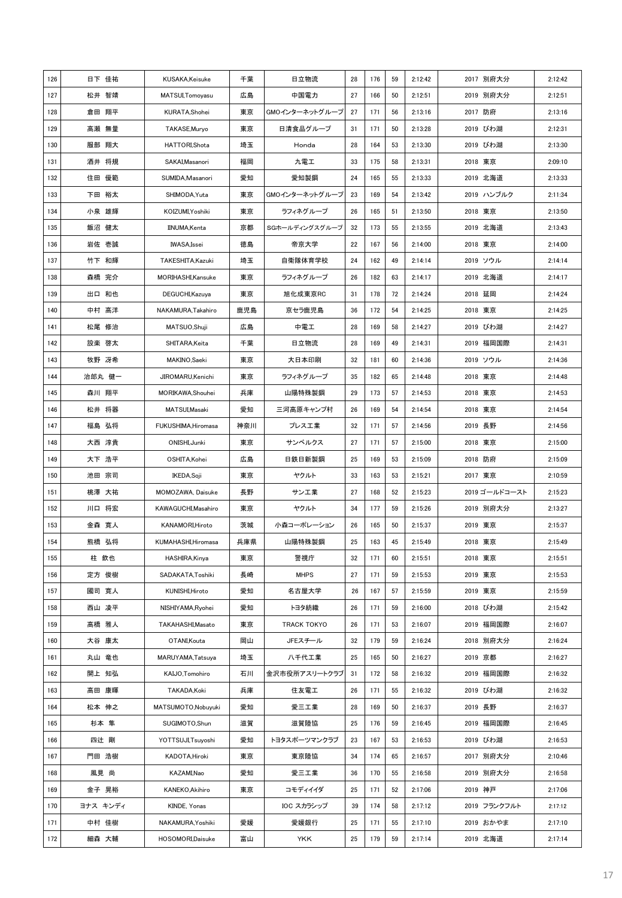| 126 | 日下 佳祐    | KUSAKA, Keisuke     | 千葉  | 日立物流               | 28 | 176 | 59 | 2:12:42 | 2017 別府大分     | 2:12:42 |
|-----|----------|---------------------|-----|--------------------|----|-----|----|---------|---------------|---------|
| 127 | 松井 智靖    | MATSUI, Tomoyasu    | 広島  | 中国電力               | 27 | 166 | 50 | 2:12:51 | 2019 別府大分     | 2:12:51 |
| 128 | 倉田 翔平    | KURATA, Shohei      | 東京  | GMOインターネットグループ     | 27 | 171 | 56 | 2:13:16 | 2017 防府       | 2:13:16 |
| 129 | 高瀬 無量    | TAKASE, Muryo       | 東京  | 日清食品グループ           | 31 | 171 | 50 | 2:13:28 | 2019 びわ湖      | 2:12:31 |
| 130 | 服部 翔大    | HATTORI,Shota       | 埼玉  | Honda              | 28 | 164 | 53 | 2:13:30 | 2019 びわ湖      | 2:13:30 |
| 131 | 酒井 将規    | SAKAI, Masanori     | 福岡  | 九電工                | 33 | 175 | 58 | 2:13:31 | 2018 東京       | 2:09:10 |
| 132 | 住田 優範    | SUMIDA, Masanori    | 愛知  | 愛知製鋼               | 24 | 165 | 55 | 2:13:33 | 2019 北海道      | 2:13:33 |
| 133 | 下田 裕太    | SHIMODA, Yuta       | 東京  | GMOインターネットグループ     | 23 | 169 | 54 | 2:13:42 | 2019 ハンブルク    | 2:11:34 |
| 134 | 小泉 雄輝    | KOIZUMI, Yoshiki    | 東京  | ラフィネグループ           | 26 | 165 | 51 | 2:13:50 | 2018 東京       | 2:13:50 |
| 135 | 飯沼 健太    | IINUMA, Kenta       | 京都  | SGホールディングスグループ     | 32 | 173 | 55 | 2:13:55 | 2019 北海道      | 2:13:43 |
| 136 | 岩佐 壱誠    | <b>IWASA, Issei</b> | 徳島  | 帝京大学               | 22 | 167 | 56 | 2:14:00 | 2018 東京       | 2:14:00 |
| 137 | 竹下 和輝    | TAKESHITA, Kazuki   | 埼玉  | 自衛隊体育学校            | 24 | 162 | 49 | 2:14:14 | 2019 ソウル      | 2:14:14 |
| 138 | 森橋 完介    | MORIHASHI, Kansuke  | 東京  | ラフィネグループ           | 26 | 182 | 63 | 2:14:17 | 2019 北海道      | 2:14:17 |
| 139 | 出口 和也    | DEGUCHI, Kazuya     | 東京  | 旭化成東京RC            | 31 | 178 | 72 | 2:14:24 | 2018 延岡       | 2:14:24 |
| 140 | 中村 高洋    | NAKAMURA, Takahiro  | 鹿児島 | 京セラ鹿児島             | 36 | 172 | 54 | 2:14:25 | 2018 東京       | 2:14:25 |
| 141 | 松尾 修治    | MATSUO, Shuji       | 広島  | 中電工                | 28 | 169 | 58 | 2:14:27 | 2019 びわ湖      | 2:14:27 |
| 142 | 設楽 啓太    | SHITARA, Keita      | 千葉  | 日立物流               | 28 | 169 | 49 | 2:14:31 | 2019 福岡国際     | 2:14:31 |
| 143 | 牧野 冴希    | MAKINO.Saeki        | 東京  | 大日本印刷              | 32 | 181 | 60 | 2:14:36 | 2019 ソウル      | 2:14:36 |
| 144 | 治郎丸 健一   | JIROMARU,Kenichi    | 東京  | ラフィネグループ           | 35 | 182 | 65 | 2:14:48 | 2018 東京       | 2:14:48 |
| 145 | 森川 翔平    | MORIKAWA, Shouhei   | 兵庫  | 山陽特殊製鋼             | 29 | 173 | 57 | 2:14:53 | 2018 東京       | 2:14:53 |
| 146 | 松井 将器    | MATSUI, Masaki      | 愛知  | 三河高原キャンプ村          | 26 | 169 | 54 | 2:14:54 | 2018 東京       | 2:14:54 |
| 147 | 福島 弘将    | FUKUSHIMA, Hiromasa | 神奈川 | プレス工業              | 32 | 171 | 57 | 2:14:56 | 2019 長野       | 2:14:56 |
| 148 | 大西 淳貴    | ONISHI, Junki       | 東京  | サンベルクス             | 27 | 171 | 57 | 2:15:00 | 2018 東京       | 2:15:00 |
| 149 | 大下 浩平    | OSHITA, Kohei       | 広島  | 日鉄日新製鋼             | 25 | 169 | 53 | 2:15:09 | 2018 防府       | 2:15:09 |
| 150 | 池田 宗司    | IKEDA, Soji         | 東京  | ヤクルト               | 33 | 163 | 53 | 2:15:21 | 2017 東京       | 2:10:59 |
| 151 | 桃澤 大祐    | MOMOZAWA, Daisuke   | 長野  | サン工業               | 27 | 168 | 52 | 2:15:23 | 2019 ゴールドコースト | 2:15:23 |
| 152 | 川口 将宏    | KAWAGUCHI, Masahiro | 東京  | ヤクルト               | 34 | 177 | 59 | 2:15:26 | 2019 別府大分     | 2:13:27 |
| 153 | 金森 寛人    | KANAMORI, Hiroto    | 茨城  | 小森コーポレーション         | 26 | 165 | 50 | 2:15:37 | 2019 東京       | 2:15:37 |
| 154 | 熊橋 弘将    | KUMAHASHI, Hiromasa | 兵庫県 | 山陽特殊製鋼             | 25 | 163 | 45 | 2:15:49 | 2018 東京       | 2:15:49 |
| 155 | 柱 欽也     | HASHIRA, Kinya      | 東京  | 警視庁                | 32 | 171 | 60 | 2:15:51 | 2018 東京       | 2:15:51 |
| 156 | 定方 俊樹    | SADAKATA, Toshiki   | 長崎  | <b>MHPS</b>        | 27 | 171 | 59 | 2:15:53 | 2019 東京       | 2:15:53 |
| 157 | 國司 寛人    | KUNISHI, Hiroto     | 愛知  | 名古屋大学              | 26 | 167 | 57 | 2:15:59 | 2019 東京       | 2:15:59 |
| 158 | 西山 凌平    | NISHIYAMA, Ryohei   | 愛知  | トヨタ紡織              | 26 | 171 | 59 | 2:16:00 | 2018 びわ湖      | 2:15:42 |
| 159 | 高橋 雅人    | TAKAHASHI.Masato    | 東京  | <b>TRACK TOKYO</b> | 26 | 171 | 53 | 2:16:07 | 2019 福岡国際     | 2:16:07 |
| 160 | 大谷 康太    | OTANI, Kouta        | 岡山  | JFEスチール            | 32 | 179 | 59 | 2:16:24 | 2018 別府大分     | 2:16:24 |
| 161 | 丸山 竜也    | MARUYAMA, Tatsuya   | 埼玉  | 八千代工業              | 25 | 165 | 50 | 2:16:27 | 2019 京都       | 2:16:27 |
| 162 | 開上 知弘    | KAIJO, Tomohiro     | 石川  | 金沢市役所アスリートクラブ      | 31 | 172 | 58 | 2:16:32 | 2019 福岡国際     | 2:16:32 |
| 163 | 高田 康暉    | TAKADA.Koki         | 兵庫  | 住友電工               | 26 | 171 | 55 | 2:16:32 | 2019 びわ湖      | 2:16:32 |
| 164 | 松本 伸之    | MATSUMOTO,Nobuyuki  | 愛知  | 愛三工業               | 28 | 169 | 50 | 2:16:37 | 2019 長野       | 2:16:37 |
| 165 | 杉本 隼     | SUGIMOTO, Shun      | 滋賀  | 滋賀陸協               | 25 | 176 | 59 | 2:16:45 | 2019 福岡国際     | 2:16:45 |
| 166 | 四辻 剛     | YOTTSUJI,Tsuyoshi   | 愛知  | トヨタスポーツマンクラブ       | 23 | 167 | 53 | 2:16:53 | 2019 びわ湖      | 2:16:53 |
| 167 | 門田 浩樹    | KADOTA, Hiroki      | 東京  | 東京陸協               | 34 | 174 | 65 | 2:16:57 | 2017 別府大分     | 2:10:46 |
| 168 | 風見 尚     | KAZAMI,Nao          | 愛知  | 愛三工業               | 36 | 170 | 55 | 2:16:58 | 2019 別府大分     | 2:16:58 |
| 169 | 金子 晃裕    | KANEKO, Akihiro     | 東京  | コモディイイダ            | 25 | 171 | 52 | 2:17:06 | 2019 神戸       | 2:17:06 |
| 170 | ヨナス キンディ | KINDE, Yonas        |     | IOC スカラシップ         | 39 | 174 | 58 | 2:17:12 | 2019 フランクフルト  | 2:17:12 |
| 171 | 中村 佳樹    | NAKAMURA, Yoshiki   | 愛媛  | 愛媛銀行               | 25 | 171 | 55 | 2:17:10 | 2019 おかやま     | 2:17:10 |
| 172 | 細森 大輔    | HOSOMORI,Daisuke    | 富山  | <b>YKK</b>         | 25 | 179 | 59 | 2:17:14 | 2019 北海道      | 2:17:14 |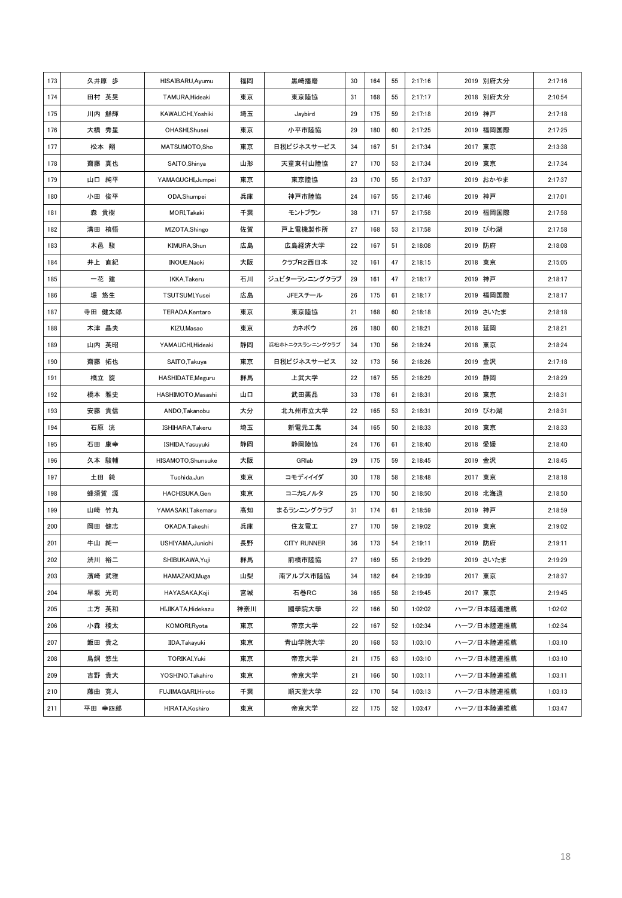| 173 | 久井原 歩  | HISAIBARU, Ayumu   | 福岡  | 黒崎播磨               | 30 | 164 | 55 | 2:17:16 | 2019 別府大分  | 2:17:16 |
|-----|--------|--------------------|-----|--------------------|----|-----|----|---------|------------|---------|
| 174 | 田村 英晃  | TAMURA, Hideaki    | 東京  | 東京陸協               | 31 | 168 | 55 | 2:17:17 | 2018 別府大分  | 2:10:54 |
| 175 | 川内 鮮輝  | KAWAUCHI, Yoshiki  | 埼玉  | Jaybird            | 29 | 175 | 59 | 2:17:18 | 2019 神戸    | 2:17:18 |
| 176 | 大橋 秀星  | OHASHI, Shusei     | 東京  | 小平市陸協              | 29 | 180 | 60 | 2:17:25 | 2019 福岡国際  | 2:17:25 |
| 177 | 松本 翔   | MATSUMOTO, Sho     | 東京  | 日税ビジネスサービス         | 34 | 167 | 51 | 2:17:34 | 2017 東京    | 2:13:38 |
| 178 | 齋藤 真也  | SAITO, Shinya      | 山形  | 天童東村山陸協            | 27 | 170 | 53 | 2:17:34 | 2019 東京    | 2:17:34 |
| 179 | 山口 純平  | YAMAGUCHI, Jumpei  | 東京  | 東京陸協               | 23 | 170 | 55 | 2:17:37 | 2019 おかやま  | 2:17:37 |
| 180 | 小田 俊平  | ODA,Shumpei        | 兵庫  | 神戸市陸協              | 24 | 167 | 55 | 2:17:46 | 2019 神戸    | 2:17:01 |
| 181 | 森 貴樹   | MORI, Takaki       | 千葉  | モントブラン             | 38 | 171 | 57 | 2:17:58 | 2019 福岡国際  | 2:17:58 |
| 182 | 溝田 槙悟  | MIZOTA, Shingo     | 佐賀  | 戸上電機製作所            | 27 | 168 | 53 | 2:17:58 | 2019 びわ湖   | 2:17:58 |
| 183 | 木邑 駿   | KIMURA, Shun       | 広島  | 広島経済大学             | 22 | 167 | 51 | 2:18:08 | 2019 防府    | 2:18:08 |
| 184 | 井上 直紀  | <b>INOUE,Naoki</b> | 大阪  | クラブR2西日本           | 32 | 161 | 47 | 2:18:15 | 2018 東京    | 2:15:05 |
| 185 | 一花建    | IKKA,Takeru        | 石川  | ジュピターランニングクラブ      | 29 | 161 | 47 | 2:18:17 | 2019 神戸    | 2:18:17 |
| 186 | 堤 悠生   | TSUTSUMI, Yusei    | 広島  | JFEスチール            | 26 | 175 | 61 | 2:18:17 | 2019 福岡国際  | 2:18:17 |
| 187 | 寺田 健太郎 | TERADA, Kentaro    | 東京  | 東京陸協               | 21 | 168 | 60 | 2:18:18 | 2019 さいたま  | 2:18:18 |
| 188 | 木津 晶夫  | KIZU, Masao        | 東京  | カネボウ               | 26 | 180 | 60 | 2:18:21 | 2018 延岡    | 2:18:21 |
| 189 | 山内 英昭  | YAMAUCHI, Hideaki  | 静岡  | 浜松ホトニクスランニングクラブ    | 34 | 170 | 56 | 2:18:24 | 2018 東京    | 2:18:24 |
| 190 | 齋藤 拓也  | SAITO, Takuya      | 東京  | 日税ビジネスサービス         | 32 | 173 | 56 | 2:18:26 | 2019 金沢    | 2:17:18 |
| 191 | 橋立 旋   | HASHIDATE, Meguru  | 群馬  | 上武大学               | 22 | 167 | 55 | 2:18:29 | 2019 静岡    | 2:18:29 |
| 192 | 橋本 雅史  | HASHIMOTO, Masashi | 山口  | 武田薬品               | 33 | 178 | 61 | 2:18:31 | 2018 東京    | 2:18:31 |
| 193 | 安藤 貴信  | ANDO, Takanobu     | 大分  | 北九州市立大学            | 22 | 165 | 53 | 2:18:31 | 2019 びわ湖   | 2:18:31 |
| 194 | 石原 洸   | ISHIHARA, Takeru   | 埼玉  | 新電元工業              | 34 | 165 | 50 | 2:18:33 | 2018 東京    | 2:18:33 |
| 195 | 石田 康幸  | ISHIDA, Yasuyuki   | 静岡  | 静岡陸協               | 24 | 176 | 61 | 2:18:40 | 2018 愛媛    | 2:18:40 |
| 196 | 久本 駿輔  | HISAMOTO, Shunsuke | 大阪  | GRIab              | 29 | 175 | 59 | 2:18:45 | 2019 金沢    | 2:18:45 |
| 197 | 土田 純   | Tuchida, Jun       | 東京  | コモディイイダ            | 30 | 178 | 58 | 2:18:48 | 2017 東京    | 2:18:18 |
| 198 | 蜂須賀 源  | HACHISUKA, Gen     | 東京  | コニカミノルタ            | 25 | 170 | 50 | 2:18:50 | 2018 北海道   | 2:18:50 |
| 199 | 山﨑 竹丸  | YAMASAKI, Takemaru | 高知  | まるランニングクラブ         | 31 | 174 | 61 | 2:18:59 | 2019 神戸    | 2:18:59 |
| 200 | 岡田 健志  | OKADA, Takeshi     | 兵庫  | 住友電工               | 27 | 170 | 59 | 2:19:02 | 2019 東京    | 2:19:02 |
| 201 | 牛山 純一  | USHIYAMA, Junichi  | 長野  | <b>CITY RUNNER</b> | 36 | 173 | 54 | 2:19:11 | 2019 防府    | 2:19:11 |
| 202 | 渋川 裕二  | SHIBUKAWA, Yuji    | 群馬  | 前橋市陸協              | 27 | 169 | 55 | 2:19:29 | 2019 さいたま  | 2:19:29 |
| 203 | 濱崎 武雅  | HAMAZAKI, Muga     | 山梨  | 南アルプス市陸協           | 34 | 182 | 64 | 2:19:39 | 2017 東京    | 2:18:37 |
| 204 | 早坂 光司  | HAYASAKA, Koji     | 宮城  | 石巻RC               | 36 | 165 | 58 | 2:19:45 | 2017 東京    | 2:19:45 |
| 205 | 土方 英和  | HIJIKATA, Hidekazu | 神奈川 | 國學院大學              | 22 | 166 | 50 | 1:02:02 | ハーフ/日本陸連推薦 | 1:02:02 |
| 206 | 小森 稜太  | KOMORI, Ryota      | 東京  | 帝京大学               | 22 | 167 | 52 | 1:02:34 | ハーフ/日本陸連推薦 | 1:02:34 |
| 207 | 飯田 貴之  | IIDA, Takayuki     | 東京  | 青山学院大学             | 20 | 168 | 53 | 1:03:10 | ハーフ/日本陸連推薦 | 1:03:10 |
| 208 | 鳥飼 悠生  | TORIKAI, Yuki      | 東京  | 帝京大学               | 21 | 175 | 63 | 1:03:10 | ハーフ/日本陸連推薦 | 1:03:10 |
| 209 | 吉野 貴大  | YOSHINO.Takahiro   | 東京  | 帝京大学               | 21 | 166 | 50 | 1:03:11 | ハーフ/日本陸連推薦 | 1:03:11 |
| 210 | 藤曲 寛人  | FUJIMAGARI, Hiroto | 千葉  | 順天堂大学              | 22 | 170 | 54 | 1:03:13 | ハーフ/日本陸連推薦 | 1:03:13 |
| 211 | 平田 幸四郎 | HIRATA, Koshiro    | 東京  | 帝京大学               | 22 | 175 | 52 | 1:03:47 | ハーフ/日本陸連推薦 | 1:03:47 |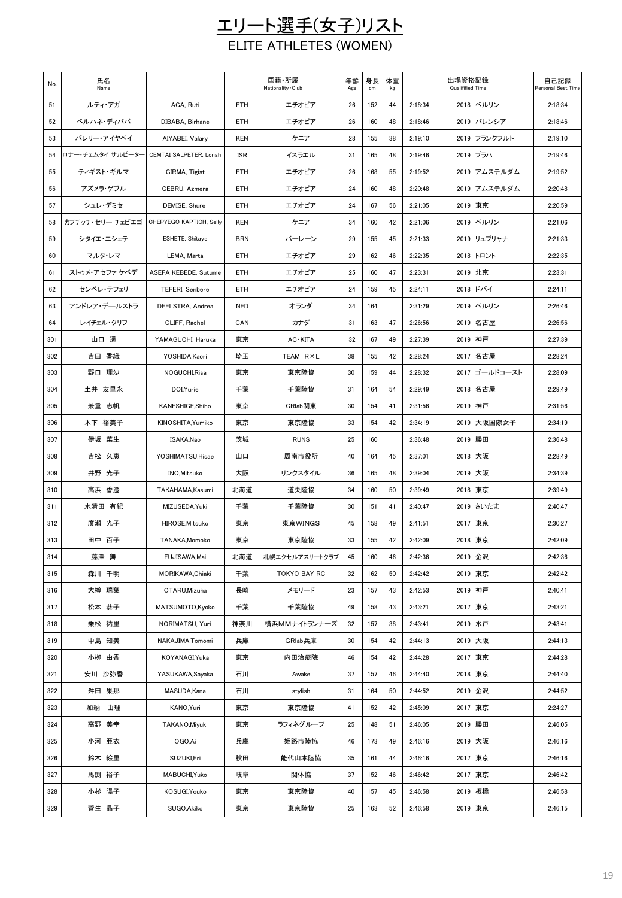### エリート選手(女子)リスト ELITE ATHLETES (WOMEN)

| No. | 氏名<br>Name       |                         |            | 国籍 所属<br>Nationality . Club | 年齢<br>Age | 身長<br>cm | 体重<br>kg |         | 出場資格記録<br>Qualifified Time | 自己記録<br>Personal Best Time |
|-----|------------------|-------------------------|------------|-----------------------------|-----------|----------|----------|---------|----------------------------|----------------------------|
| 51  | ルティ・アガ           | AGA, Ruti               | ETH        | エチオピア                       | 26        | 152      | 44       | 2:18:34 | 2018 ベルリン                  | 2:18:34                    |
| 52  | ベルハネ・ディババ        | DIBABA, Birhane         | ETH        | エチオピア                       | 26        | 160      | 48       | 2:18:46 | 2019 バレンシア                 | 2:18:46                    |
| 53  | バレリー・アイヤベイ       | AIYABEI, Valary         | <b>KEN</b> | ケニア                         | 28        | 155      | 38       | 2:19:10 | 2019 フランクフルト               | 2:19:10                    |
| 54  | ロナー・チェムタイ サルピーター | CEMTAI SALPETER, Lonah  | <b>ISR</b> | イスラエル                       | 31        | 165      | 48       | 2:19:46 | 2019 プラハ                   | 2:19:46                    |
| 55  | ティギスト・ギルマ        | GIRMA, Tigist           | ETH        | エチオピア                       | 26        | 168      | 55       | 2:19:52 | 2019 アムステルダム               | 2:19:52                    |
| 56  | アズメラ・ゲブル         | GEBRU, Azmera           | ETH        | エチオピア                       | 24        | 160      | 48       | 2:20:48 | 2019 アムステルダム               | 2:20:48                    |
| 57  | シュレ・デミセ          | DEMISE, Shure           | ETH        | エチオピア                       | 24        | 167      | 56       | 2:21:05 | 2019 東京                    | 2:20:59                    |
| 58  | カプチッチ・セリー チェピエゴ  | CHEPYEGO KAPTICH, Selly | <b>KEN</b> | ケニア                         | 34        | 160      | 42       | 2:21:06 | 2019 ベルリン                  | 2:21:06                    |
| 59  | シタイエ・エシェテ        | ESHETE, Shitaye         | <b>BRN</b> | バーレーン                       | 29        | 155      | 45       | 2:21:33 | 2019 リュブリャナ                | 2:21:33                    |
| 60  | マルタ・レマ           | LEMA, Marta             | ETH        | エチオピア                       | 29        | 162      | 46       | 2:22:35 | 2018 トロント                  | 2:22:35                    |
| 61  | ストゥメ・アセファ ケベデ    | ASEFA KEBEDE, Sutume    | ETH        | エチオピア                       | 25        | 160      | 47       | 2:23:31 | 2019 北京                    | 2:23:31                    |
| 62  | センベレ・テフェリ        | TEFERI, Senbere         | ETH        | エチオピア                       | 24        | 159      | 45       | 2:24:11 | 2018 ドバイ                   | 2:24:11                    |
| 63  | アンドレア・デールストラ     | DEELSTRA, Andrea        | <b>NED</b> | オランダ                        | 34        | 164      |          | 2:31:29 | 2019 ベルリン                  | 2:26:46                    |
| 64  | レイチェル・クリフ        | CLIFF, Rachel           | CAN        | カナダ                         | 31        | 163      | 47       | 2:26:56 | 2019 名古屋                   | 2:26:56                    |
| 301 | 山口 遥             | YAMAGUCHI, Haruka       | 東京         | AC · KITA                   | 32        | 167      | 49       | 2:27:39 | 2019 神戸                    | 2:27:39                    |
| 302 | 吉田 香織            | YOSHIDA, Kaori          | 埼玉         | TEAM R × L                  | 38        | 155      | 42       | 2:28:24 | 2017 名古屋                   | 2:28:24                    |
| 303 | 野口 理沙            | NOGUCHI.Risa            | 東京         | 東京陸協                        | 30        | 159      | 44       | 2:28:32 | 2017 ゴールドコースト              | 2:28:09                    |
| 304 | 土井 友里永           | DOI, Yurie              | 千葉         | 千葉陸協                        | 31        | 164      | 54       | 2:29:49 | 2018 名古屋                   | 2:29:49                    |
| 305 | 兼重 志帆            | KANESHIGE,Shiho         | 東京         | GRIab関東                     | 30        | 154      | 41       | 2:31:56 | 2019 神戸                    | 2:31:56                    |
| 306 | 木下 裕美子           | KINOSHITA, Yumiko       | 東京         | 東京陸協                        | 33        | 154      | 42       | 2:34:19 | 2019 大阪国際女子                | 2:34:19                    |
| 307 | 伊坂 菜生            | ISAKA, Nao              | 茨城         | <b>RUNS</b>                 | 25        | 160      |          | 2:36:48 | 2019 勝田                    | 2:36:48                    |
| 308 | 吉松 久恵            | YOSHIMATSU, Hisae       | 山口         | 周南市役所                       | 40        | 164      | 45       | 2:37:01 | 2018 大阪                    | 2:28:49                    |
| 309 | 井野 光子            | INO, Mitsuko            | 大阪         | リンクスタイル                     | 36        | 165      | 48       | 2:39:04 | 2019 大阪                    | 2:34:39                    |
| 310 | 高浜 香澄            | TAKAHAMA, Kasumi        | 北海道        | 道央陸協                        | 34        | 160      | 50       | 2:39:49 | 2018 東京                    | 2:39:49                    |
| 311 | 水清田 有紀           | MIZUSEDA, Yuki          | 千葉         | 千葉陸協                        | 30        | 151      | 41       | 2:40:47 | 2019 さいたま                  | 2:40:47                    |
| 312 | 廣瀬 光子            | <b>HIROSE.Mitsuko</b>   | 東京         | 東京WINGS                     | 45        | 158      | 49       | 2:41:51 | 2017 東京                    | 2:30:27                    |
| 313 | 田中 百子            | TANAKA, Momoko          | 東京         | 東京陸協                        | 33        | 155      | 42       | 2:42:09 | 2018 東京                    | 2:42:09                    |
| 314 | 藤澤 舞             | FUJISAWA.Mai            | 北海道        | 札幌エクセルアスリートクラブ              | 45        | 160      | 46       | 2:42:36 | 2019 金沢                    | 2:42:36                    |
| 315 | 森川 千明            | MORIKAWA, Chiaki        | 千葉         | <b>TOKYO BAY RC</b>         | 32        | 162      | 50       | 2:42:42 | 2019 東京                    | 2:42:42                    |
| 316 | 大樽 壖枼            | OTARU, Mizuha           | 長崎         | メモリード                       | 23        | 157      | 43       | 2:42:53 | 2019 神尸                    | 2:40:41                    |
| 317 | 松本 恭子            | MATSUMOTO, Kyoko        | 千葉         | 千葉陸協                        | 49        | 158      | 43       | 2:43:21 | 2017 東京                    | 2:43:21                    |
| 318 | 乗松 祐里            | NORIMATSU, Yuri         | 神奈川        | 横浜MMナイトランナーズ                | 32        | 157      | 38       | 2:43:41 | 2019 水戸                    | 2:43:41                    |
| 319 | 中島 知美            | NAKAJIMA, Tomomi        | 兵庫         | GRIab兵庫                     | 30        | 154      | 42       | 2:44:13 | 2019 大阪                    | 2:44:13                    |
| 320 | 小栁 由香            | KOYANAGI, Yuka          | 東京         | 内田治療院                       | 46        | 154      | 42       | 2:44:28 | 2017 東京                    | 2:44:28                    |
| 321 | 安川 沙弥香           | YASUKAWA,Sayaka         | 石川         | Awake                       | 37        | 157      | 46       | 2:44:40 | 2018 東京                    | 2:44:40                    |
| 322 | 舛田 果那            | MASUDA, Kana            | 石川         | stylish                     | 31        | 164      | 50       | 2:44:52 | 2019 金沢                    | 2:44:52                    |
| 323 | 加納 由理            | KANO, Yuri              | 東京         | 東京陸協                        | 41        | 152      | 42       | 2:45:09 | 2017 東京                    | 2:24:27                    |
| 324 | 高野 美幸            | TAKANO, Miyuki          | 東京         | ラフィネグループ                    | 25        | 148      | 51       | 2:46:05 | 2019 勝田                    | 2:46:05                    |
| 325 | 小河 亜衣            | OGO,Ai                  | 兵庫         | 姫路市陸協                       | 46        | 173      | 49       | 2:46:16 | 2019 大阪                    | 2:46:16                    |
| 326 | 鈴木 絵里            | SUZUKI,Eri              | 秋田         | 能代山本陸協                      | 35        | 161      | 44       | 2:46:16 | 2017 東京                    | 2:46:16                    |
| 327 | 馬渕 裕子            | MABUCHI, Yuko           | 岐阜         | 関体協                         | 37        | 152      | 46       | 2:46:42 | 2017 東京                    | 2:46:42                    |
| 328 | 小杉 陽子            | KOSUGI, Youko           | 東京         | 東京陸協                        | 40        | 157      | 45       | 2:46:58 | 2019 板橋                    | 2:46:58                    |
| 329 | 菅生 晶子            | SUGO, Akiko             | 東京         | 東京陸協                        | 25        | 163      | 52       | 2:46:58 | 2019 東京                    | 2:46:15                    |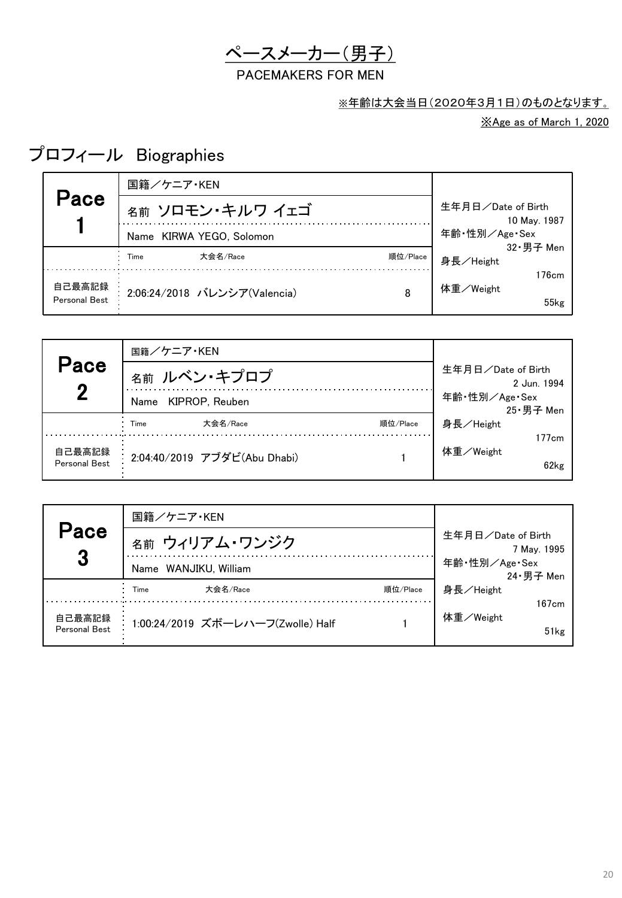

#### PACEMAKERS FOR MEN

#### ※年齢は大会当日(2020年3月1日)のものとなります。

※Age as of March 1, 2020

|                                | 国籍/ケニア・KEN               |                              |                                                     |           |               |  |
|--------------------------------|--------------------------|------------------------------|-----------------------------------------------------|-----------|---------------|--|
| Pace                           | 名前 ソロモン・キルワ イェゴ          |                              | 生年月日/Date of Birth<br>10 May. 1987<br>年齢・性別/Age・Sex |           |               |  |
|                                | Name KIRWA YEGO, Solomon |                              |                                                     |           |               |  |
|                                | Time                     | 大会名/Race                     | 順位/Place                                            | 身長/Height | 32 · 男子 Men   |  |
| 自己最高記録<br><b>Personal Best</b> |                          | 2:06:24/2018 バレンシア(Valencia) |                                                     | 体重/Weight | 176cm<br>55kg |  |

|                         | 国籍/ケニア・KEN          |                                |          |                              |               |  |
|-------------------------|---------------------|--------------------------------|----------|------------------------------|---------------|--|
| Pace                    |                     | 名前 ルベン・キプロプ                    |          | 生年月日/Date of Birth           | 2 Jun. 1994   |  |
|                         | Name KIPROP, Reuben |                                |          | 年齢・性別/Age・Sex<br>25 · 男子 Men |               |  |
|                         | Time                | 大会名/Race                       | 順位/Place | 身長/Height                    |               |  |
| 自己最高記録<br>Personal Best |                     | : 2:04:40/2019 アブダビ(Abu Dhabi) |          | 体重/Weight                    | 177cm<br>62kg |  |

|                         | 国籍/ケニア・KEN                        |                                   |  |  |
|-------------------------|-----------------------------------|-----------------------------------|--|--|
| Pace                    | 名前 ウィリアム・ワンジク                     | 生年月日/Date of Birth<br>7 May. 1995 |  |  |
| 3                       | Name WANJIKU, William             | 年齢・性別/Age・Sex<br>24 · 男子 Men      |  |  |
|                         | 順位/Place<br>大会名/Race<br>Time      | 身長/Height                         |  |  |
| 自己最高記録<br>Personal Best | 1:00:24/2019 ズボーレハーフ(Zwolle) Half | 167cm<br>体重/Weight<br>51kg        |  |  |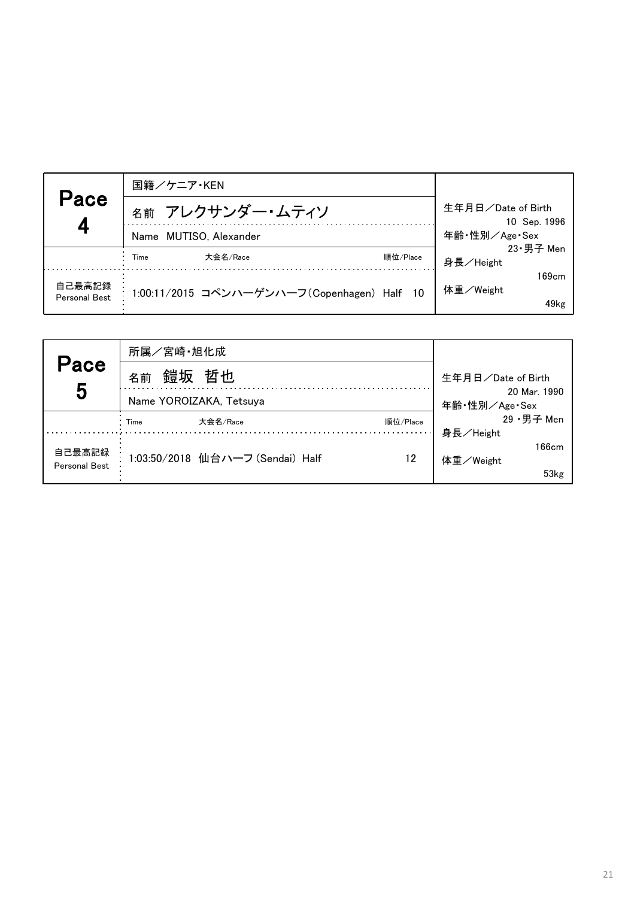|                         | 国籍/ケニア·KEN             |                                               |          |                                                     |  |
|-------------------------|------------------------|-----------------------------------------------|----------|-----------------------------------------------------|--|
| Pace<br>Д               | 名前 アレクサンダー・ムティソ        |                                               |          | 生年月日/Date of Birth<br>10 Sep. 1996<br>年齢・性別/Age・Sex |  |
|                         | Name MUTISO, Alexander |                                               |          |                                                     |  |
|                         | Time                   | 大会名/Race                                      | 順位/Place | 23 · 男子 Men<br>身長/Height                            |  |
| 自己最高記録<br>Personal Best |                        | : 1:00:11/2015 コペンハーゲンハーフ(Copenhagen) Half 10 |          | 169cm<br>体重/Weight<br>49kø                          |  |

|                         | 所属/宮崎·旭化成               |                                  |                                                     |          |           |                  |
|-------------------------|-------------------------|----------------------------------|-----------------------------------------------------|----------|-----------|------------------|
| Jace<br>5               | 鎧坂 哲也<br>名前             |                                  | 生年月日/Date of Birth<br>20 Mar. 1990<br>年齢・性別/Age・Sex |          |           |                  |
|                         | Name YOROIZAKA, Tetsuya |                                  |                                                     |          |           |                  |
|                         | $\therefore$ Time       | 大会名/Race                         |                                                     | 順位/Place |           | 29 • 男子 Men      |
|                         |                         |                                  |                                                     |          | 身長/Height | 166cm            |
| 自己最高記録<br>Personal Best |                         | 1:03:50/2018 仙台ハーフ (Sendai) Half |                                                     | 12       | 体重/Weight |                  |
|                         |                         |                                  |                                                     |          |           | 53 <sub>kg</sub> |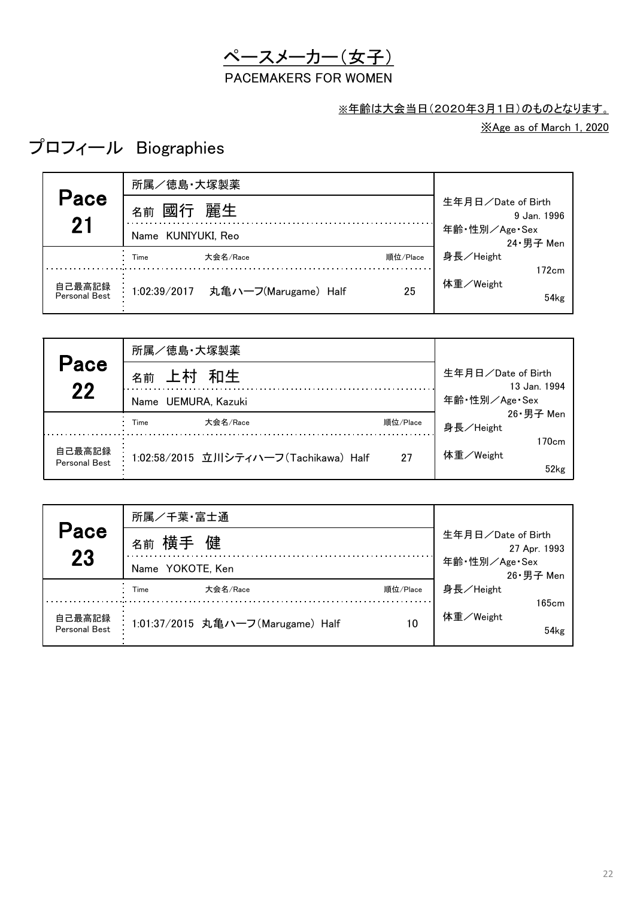ペースメーカー(女子)

#### PACEMAKERS FOR WOMEN

#### ※年齢は大会当日(2020年3月1日)のものとなります。

※Age as of March 1, 2020

|                         | 所属/徳島·大塚製薬         |                      |          |                    |                              |
|-------------------------|--------------------|----------------------|----------|--------------------|------------------------------|
| Pace<br>21              | 國行<br>名前           | 麗生                   |          | 生年月日/Date of Birth | 9 Jan. 1996                  |
|                         | Name KUNIYUKI, Reo |                      |          |                    | 年齢・性別/Age・Sex<br>24 · 男子 Men |
|                         | Time               | 大会名/Race             | 順位/Place | 身長/Height          |                              |
| 自己最高記録<br>Personal Best | 1:02:39/2017       | 丸亀ハーフ(Marugame) Half | 25       | 体重/Weight          | 172cm<br>54 <sub>kg</sub>    |

|                         | 所属/徳島·大塚製薬          |                                       |          |                                    |               |
|-------------------------|---------------------|---------------------------------------|----------|------------------------------------|---------------|
| Pace<br>22              | 名前 上村 和生            |                                       |          | 生年月日/Date of Birth<br>13 Jan. 1994 |               |
|                         | Name UEMURA, Kazuki |                                       |          | 年齢・性別/Age・Sex<br>26 · 男子 Men       |               |
|                         | Time                | 大会名/Race                              | 順位/Place | 身長/Height                          |               |
| 自己最高記録<br>Personal Best |                     | 1:02:58/2015 立川シティハーフ(Tachikawa) Half | 27       | 体重/Weight                          | 170cm<br>52kg |

| Pace<br>23                     | 所属/千葉・富士通<br>名前横手 健 |                                   |                              | 生年月日/Date of Birth<br>27 Apr. 1993 |               |
|--------------------------------|---------------------|-----------------------------------|------------------------------|------------------------------------|---------------|
|                                | Name YOKOTE, Ken    |                                   | 年齢・性別/Age・Sex<br>26 · 男子 Men |                                    |               |
|                                | Time                | 大会名/Race                          | 順位/Place                     | 身長/Height                          |               |
| 自己最高記録<br><b>Personal Best</b> |                     | 1:01:37/2015 丸亀ハーフ(Marugame) Half | 10                           | 体重/Weight                          | 165cm<br>54kg |